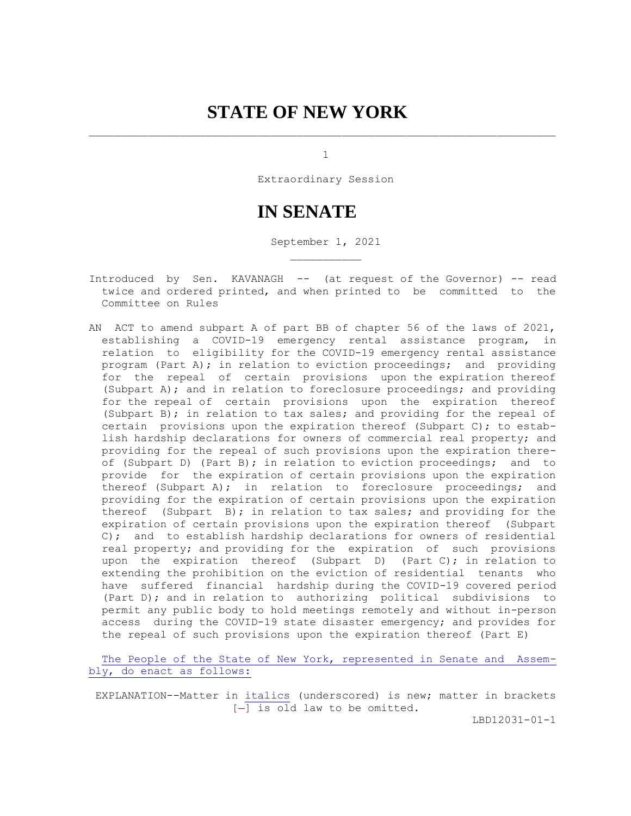# **STATE OF NEW YORK**

1

Extraordinary Session

# **IN SENATE**

September 1, 2021

- Introduced by Sen. KAVANAGH -- (at request of the Governor) -- read twice and ordered printed, and when printed to be committed to the Committee on Rules
- AN ACT to amend subpart A of part BB of chapter 56 of the laws of 2021, establishing a COVID-19 emergency rental assistance program, in relation to eligibility for the COVID-19 emergency rental assistance program (Part A); in relation to eviction proceedings; and providing for the repeal of certain provisions upon the expiration thereof (Subpart A); and in relation to foreclosure proceedings; and providing for the repeal of certain provisions upon the expiration thereof (Subpart B); in relation to tax sales; and providing for the repeal of certain provisions upon the expiration thereof (Subpart C); to estab lish hardship declarations for owners of commercial real property; and providing for the repeal of such provisions upon the expiration there of (Subpart D) (Part B); in relation to eviction proceedings; and to provide for the expiration of certain provisions upon the expiration thereof (Subpart A); in relation to foreclosure proceedings; and providing for the expiration of certain provisions upon the expiration thereof (Subpart B); in relation to tax sales; and providing for the expiration of certain provisions upon the expiration thereof (Subpart C); and to establish hardship declarations for owners of residential real property; and providing for the expiration of such provisions upon the expiration thereof (Subpart D) (Part C); in relation to extending the prohibition on the eviction of residential tenants who have suffered financial hardship during the COVID-19 covered period (Part D); and in relation to authorizing political subdivisions to permit any public body to hold meetings remotely and without in-person access during the COVID-19 state disaster emergency; and provides for the repeal of such provisions upon the expiration thereof (Part E)

 The People of the State of New York, represented in Senate and Assem bly, do enact as follows:

 EXPLANATION--Matter in italics (underscored) is new; matter in brackets  $[-]$  is old law to be omitted.

LBD12031-01-1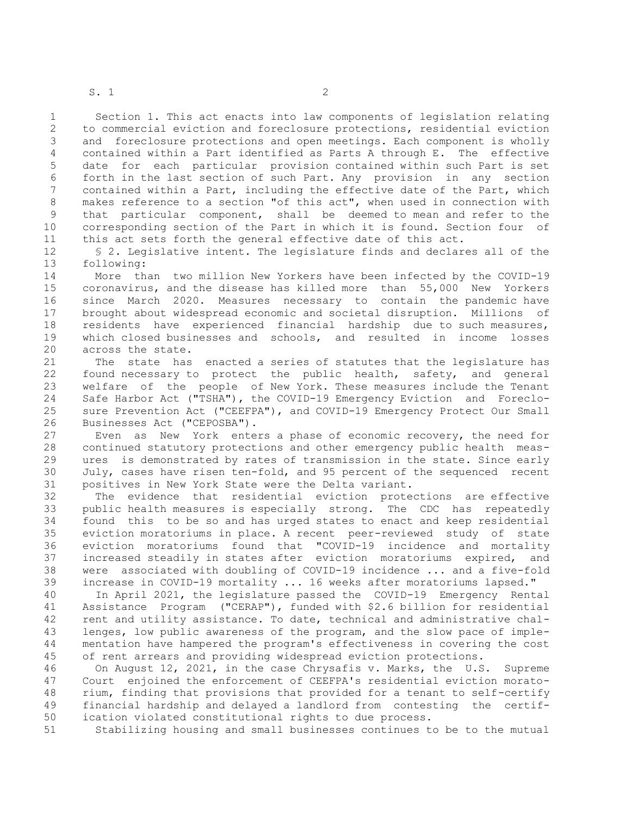S. 1 2

 1 Section 1. This act enacts into law components of legislation relating 2 to commercial eviction and foreclosure protections, residential eviction 3 and foreclosure protections and open meetings. Each component is wholly 4 contained within a Part identified as Parts A through E. The effective 5 date for each particular provision contained within such Part is set 6 forth in the last section of such Part. Any provision in any section 7 contained within a Part, including the effective date of the Part, which 8 makes reference to a section "of this act", when used in connection with 9 that particular component, shall be deemed to mean and refer to the 10 corresponding section of the Part in which it is found. Section four of 11 this act sets forth the general effective date of this act.

12 § 2. Legislative intent. The legislature finds and declares all of the 13 following:

14 More than two million New Yorkers have been infected by the COVID-19 15 coronavirus, and the disease has killed more than 55,000 New Yorkers 16 since March 2020. Measures necessary to contain the pandemic have 17 brought about widespread economic and societal disruption. Millions of 18 residents have experienced financial hardship due to such measures, 19 which closed businesses and schools, and resulted in income losses 20 across the state.

21 The state has enacted a series of statutes that the legislature has 22 found necessary to protect the public health, safety, and general 23 welfare of the people of New York. These measures include the Tenant 24 Safe Harbor Act ("TSHA"), the COVID-19 Emergency Eviction and Foreclo-25 sure Prevention Act ("CEEFPA"), and COVID-19 Emergency Protect Our Small 26 Businesses Act ("CEPOSBA").

27 Even as New York enters a phase of economic recovery, the need for 28 continued statutory protections and other emergency public health meas-29 ures is demonstrated by rates of transmission in the state. Since early 30 July, cases have risen ten-fold, and 95 percent of the sequenced recent 31 positives in New York State were the Delta variant.

32 The evidence that residential eviction protections are effective 33 public health measures is especially strong. The CDC has repeatedly 34 found this to be so and has urged states to enact and keep residential 35 eviction moratoriums in place. A recent peer-reviewed study of state 36 eviction moratoriums found that "COVID-19 incidence and mortality 37 increased steadily in states after eviction moratoriums expired, and 38 were associated with doubling of COVID-19 incidence ... and a five-fold 39 increase in COVID-19 mortality ... 16 weeks after moratoriums lapsed."

40 In April 2021, the legislature passed the COVID-19 Emergency Rental 41 Assistance Program ("CERAP"), funded with \$2.6 billion for residential 42 rent and utility assistance. To date, technical and administrative chal-43 lenges, low public awareness of the program, and the slow pace of imple-44 mentation have hampered the program's effectiveness in covering the cost 45 of rent arrears and providing widespread eviction protections.

46 On August 12, 2021, in the case Chrysafis v. Marks, the U.S. Supreme 47 Court enjoined the enforcement of CEEFPA's residential eviction morato-48 rium, finding that provisions that provided for a tenant to self-certify 49 financial hardship and delayed a landlord from contesting the certif-50 ication violated constitutional rights to due process.

51 Stabilizing housing and small businesses continues to be to the mutual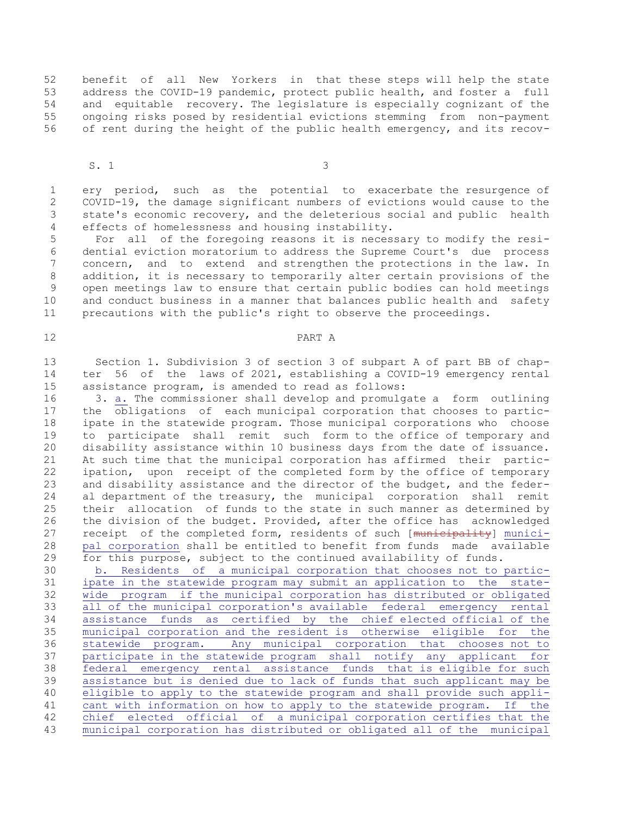52 benefit of all New Yorkers in that these steps will help the state 53 address the COVID-19 pandemic, protect public health, and foster a full 54 and equitable recovery. The legislature is especially cognizant of the 55 ongoing risks posed by residential evictions stemming from non-payment 56 of rent during the height of the public health emergency, and its recov-

 $S. 1$  3

 1 ery period, such as the potential to exacerbate the resurgence of 2 COVID-19, the damage significant numbers of evictions would cause to the 3 state's economic recovery, and the deleterious social and public health 4 effects of homelessness and housing instability.

 5 For all of the foregoing reasons it is necessary to modify the resi- 6 dential eviction moratorium to address the Supreme Court's due process 7 concern, and to extend and strengthen the protections in the law. In 8 addition, it is necessary to temporarily alter certain provisions of the 9 open meetings law to ensure that certain public bodies can hold meetings 10 and conduct business in a manner that balances public health and safety 11 precautions with the public's right to observe the proceedings.

#### 12 PART A

13 Section 1. Subdivision 3 of section 3 of subpart A of part BB of chap-14 ter 56 of the laws of 2021, establishing a COVID-19 emergency rental 15 assistance program, is amended to read as follows:

16 3. a. The commissioner shall develop and promulgate a form outlining 17 the obligations of each municipal corporation that chooses to partic-18 ipate in the statewide program. Those municipal corporations who choose 19 to participate shall remit such form to the office of temporary and 20 disability assistance within 10 business days from the date of issuance. 21 At such time that the municipal corporation has affirmed their partic-22 ipation, upon receipt of the completed form by the office of temporary 23 and disability assistance and the director of the budget, and the feder-24 al department of the treasury, the municipal corporation shall remit 25 their allocation of funds to the state in such manner as determined by 26 the division of the budget. Provided, after the office has acknowledged 27 receipt of the completed form, residents of such [municipality] munici-28 pal corporation shall be entitled to benefit from funds made available 29 for this purpose, subject to the continued availability of funds.

30 b. Residents of a municipal corporation that chooses not to partic-31 ipate in the statewide program may submit an application to the state-32 wide program if the municipal corporation has distributed or obligated 33 all of the municipal corporation's available federal emergency rental 34 assistance funds as certified by the chief elected official of the 35 municipal corporation and the resident is otherwise eligible for the 36 statewide program. Any municipal corporation that chooses not to 37 participate in the statewide program shall notify any applicant for 38 federal emergency rental assistance funds that is eligible for such 39 assistance but is denied due to lack of funds that such applicant may be 40 eligible to apply to the statewide program and shall provide such appli-41 cant with information on how to apply to the statewide program. If the 42 chief elected official of a municipal corporation certifies that the 43 municipal corporation has distributed or obligated all of the municipal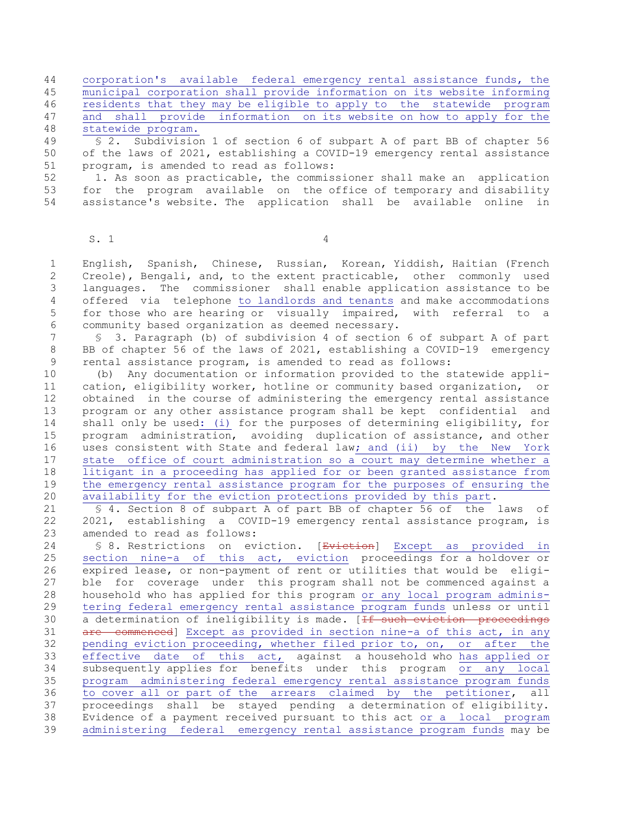44 corporation's available federal emergency rental assistance funds, the 45 municipal corporation shall provide information on its website informing 46 residents that they may be eligible to apply to the statewide program 47 and shall provide information on its website on how to apply for the 48 statewide program.

49 § 2. Subdivision 1 of section 6 of subpart A of part BB of chapter 56 50 of the laws of 2021, establishing a COVID-19 emergency rental assistance 51 program, is amended to read as follows:

52 1. As soon as practicable, the commissioner shall make an application 53 for the program available on the office of temporary and disability 54 assistance's website. The application shall be available online in

 $S. 1$ 

 1 English, Spanish, Chinese, Russian, Korean, Yiddish, Haitian (French 2 Creole), Bengali, and, to the extent practicable, other commonly used 3 languages. The commissioner shall enable application assistance to be 4 offered via telephone to landlords and tenants and make accommodations 5 for those who are hearing or visually impaired, with referral to a 6 community based organization as deemed necessary.

 7 § 3. Paragraph (b) of subdivision 4 of section 6 of subpart A of part 8 BB of chapter 56 of the laws of 2021, establishing a COVID-19 emergency 9 rental assistance program, is amended to read as follows:

10 (b) Any documentation or information provided to the statewide appli-11 cation, eligibility worker, hotline or community based organization, or 12 obtained in the course of administering the emergency rental assistance 13 program or any other assistance program shall be kept confidential and 14 shall only be used: (i) for the purposes of determining eligibility, for 15 program administration, avoiding duplication of assistance, and other 16 uses consistent with State and federal law; and (ii) by the New York 17 state office of court administration so a court may determine whether a 18 litigant in a proceeding has applied for or been granted assistance from 19 the emergency rental assistance program for the purposes of ensuring the 20 availability for the eviction protections provided by this part.

21 § 4. Section 8 of subpart A of part BB of chapter 56 of the laws of 22 2021, establishing a COVID-19 emergency rental assistance program, is 23 amended to read as follows:

24 § 8. Restrictions on eviction. [Eviction] Except as provided in 25 section nine-a of this act, eviction proceedings for a holdover or 26 expired lease, or non-payment of rent or utilities that would be eligi-27 ble for coverage under this program shall not be commenced against a 28 household who has applied for this program or any local program adminis-29 tering federal emergency rental assistance program funds unless or until 30 a determination of ineligibility is made. [<del>If such eviction proceedings</del> 31 are commenced] Except as provided in section nine-a of this act, in any 32 pending eviction proceeding, whether filed prior to, on, or after the 33 effective date of this act, against a household who has applied or 34 subsequently applies for benefits under this program or any local 35 program administering federal emergency rental assistance program funds 36 to cover all or part of the arrears claimed by the petitioner, all 37 proceedings shall be stayed pending a determination of eligibility. 38 Evidence of a payment received pursuant to this act or a local program 39 administering federal emergency rental assistance program funds may be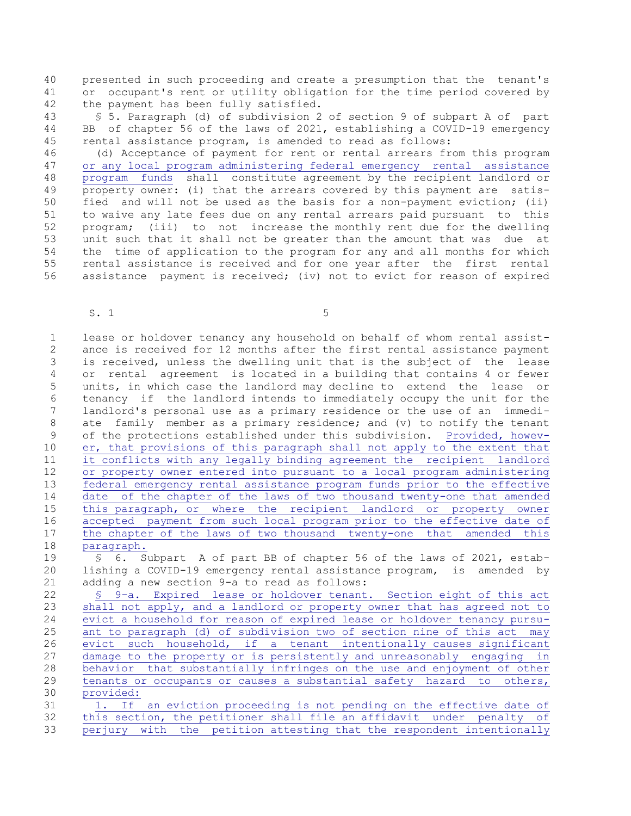40 presented in such proceeding and create a presumption that the tenant's 41 or occupant's rent or utility obligation for the time period covered by 42 the payment has been fully satisfied.

43 § 5. Paragraph (d) of subdivision 2 of section 9 of subpart A of part 44 BB of chapter 56 of the laws of 2021, establishing a COVID-19 emergency 45 rental assistance program, is amended to read as follows:

46 (d) Acceptance of payment for rent or rental arrears from this program 47 or any local program administering federal emergency rental assistance 48 program funds shall constitute agreement by the recipient landlord or 49 **property owner:** (i) that the arrears covered by this payment are satis-50 fied and will not be used as the basis for a non-payment eviction; (ii) 51 to waive any late fees due on any rental arrears paid pursuant to this 52 program; (iii) to not increase the monthly rent due for the dwelling 53 unit such that it shall not be greater than the amount that was due at 54 the time of application to the program for any and all months for which 55 rental assistance is received and for one year after the first rental 56 assistance payment is received; (iv) not to evict for reason of expired

 $S. 1$  5

 1 lease or holdover tenancy any household on behalf of whom rental assist- 2 ance is received for 12 months after the first rental assistance payment 3 is received, unless the dwelling unit that is the subject of the lease 4 or rental agreement is located in a building that contains 4 or fewer 5 units, in which case the landlord may decline to extend the lease or 6 tenancy if the landlord intends to immediately occupy the unit for the 7 landlord's personal use as a primary residence or the use of an immedi- 8 ate family member as a primary residence; and (v) to notify the tenant 9 of the protections established under this subdivision. Provided, howev-10 er, that provisions of this paragraph shall not apply to the extent that 11 it conflicts with any legally binding agreement the recipient landlord 12 or property owner entered into pursuant to a local program administering 13 **federal emergency rental assistance program funds prior to the effective** 14 date of the chapter of the laws of two thousand twenty-one that amended 15 this paragraph, or where the recipient landlord or property owner 16 accepted payment from such local program prior to the effective date of 17 the chapter of the laws of two thousand twenty-one that amended this 18 paragraph. 19 § 6. Subpart A of part BB of chapter 56 of the laws of 2021, estab-20 lishing a COVID-19 emergency rental assistance program, is amended by 21 adding a new section 9-a to read as follows: 22 § 9-a. Expired lease or holdover tenant. Section eight of this act 23 shall not apply, and a landlord or property owner that has agreed not to 24 evict a household for reason of expired lease or holdover tenancy pursu-25 ant to paragraph (d) of subdivision two of section nine of this act may 26 evict such household, if a tenant intentionally causes significant 27 damage to the property or is persistently and unreasonably engaging in 28 behavior that substantially infringes on the use and enjoyment of other 29 tenants or occupants or causes a substantial safety hazard to others, 30 provided: 31 1. If an eviction proceeding is not pending on the effective date of

32 this section, the petitioner shall file an affidavit under penalty of 33 perjury with the petition attesting that the respondent intentionally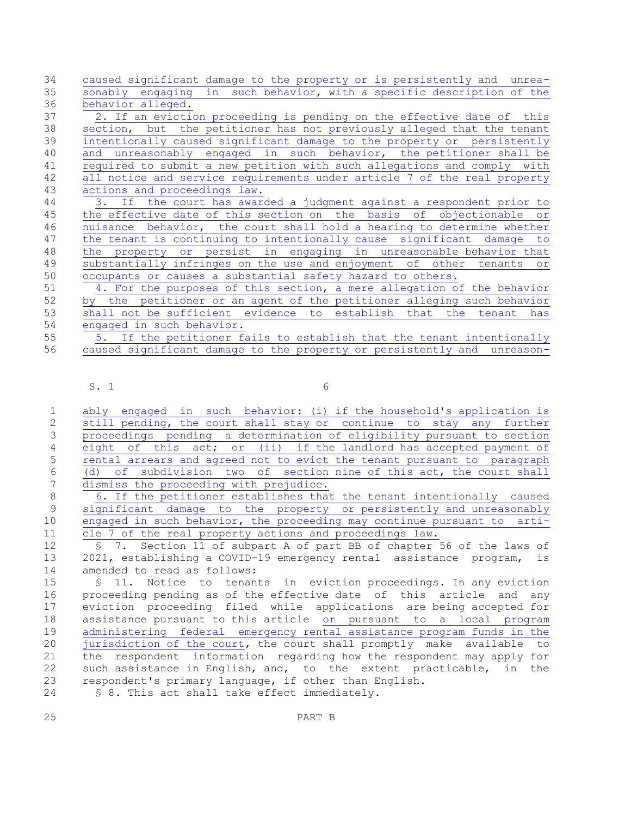34 caused significant damage to the property or is persistently and unrea-35 sonably engaging in such behavior, with a specific description of the 36 behavior alleged.

37 2. If an eviction proceeding is pending on the effective date of this 38 section, but the petitioner has not previously alleged that the tenant 39 intentionally caused significant damage to the property or persistently 40 and unreasonably engaged in such behavior, the petitioner shall be 41 required to submit a new petition with such allegations and comply with 42 all notice and service requirements under article 7 of the real property 43 actions and proceedings law.

44 3. If the court has awarded a judgment against a respondent prior to 45 the effective date of this section on the basis of objectionable or 46 nuisance behavior, the court shall hold a hearing to determine whether 47 the tenant is continuing to intentionally cause significant damage to 48 the property or persist in engaging in unreasonable behavior that 49 substantially infringes on the use and enjoyment of other tenants or 50 occupants or causes a substantial safety hazard to others.

51 4. For the purposes of this section, a mere allegation of the behavior 52 by the petitioner or an agent of the petitioner alleging such behavior 53 shall not be sufficient evidence to establish that the tenant has 54 engaged in such behavior.

55 5. If the petitioner fails to establish that the tenant intentionally 56 caused significant damage to the property or persistently and unreason-

 $S. 1$  6

 1 ably engaged in such behavior: (i) if the household's application is 2 still pending, the court shall stay or continue to stay any further 3 proceedings pending a determination of eligibility pursuant to section 4 eight of this act; or (ii) if the landlord has accepted payment of 5 rental arrears and agreed not to evict the tenant pursuant to paragraph 6 (d) of subdivision two of section nine of this act, the court shall 7 dismiss the proceeding with prejudice.

 8 6. If the petitioner establishes that the tenant intentionally caused 9 significant damage to the property or persistently and unreasonably 10 engaged in such behavior, the proceeding may continue pursuant to arti-11 cle 7 of the real property actions and proceedings law.

12 § 7. Section 11 of subpart A of part BB of chapter 56 of the laws of 13 2021, establishing a COVID-19 emergency rental assistance program, is 14 amended to read as follows:

15 § 11. Notice to tenants in eviction proceedings. In any eviction 16 proceeding pending as of the effective date of this article and any 17 eviction proceeding filed while applications are being accepted for 18 assistance pursuant to this article or pursuant to a local program 19 administering federal emergency rental assistance program funds in the<br>20 iurisdiction of the court, the court shall promptly make available to jurisdiction of the court, the court shall promptly make available to 21 the respondent information regarding how the respondent may apply for 22 such assistance in English, and, to the extent practicable, in the 23 respondent's primary language, if other than English. 24 § 8. This act shall take effect immediately.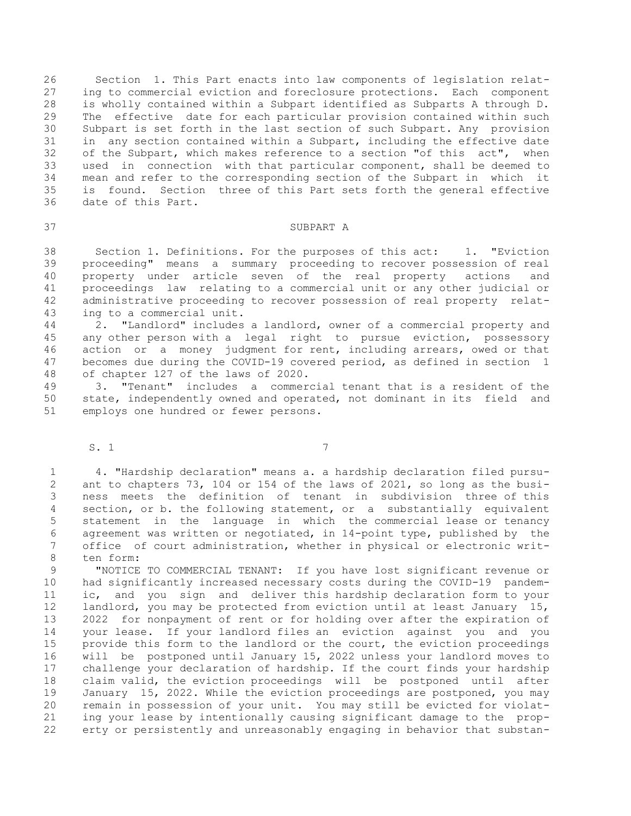26 Section 1. This Part enacts into law components of legislation relat-27 ing to commercial eviction and foreclosure protections. Each component 28 is wholly contained within a Subpart identified as Subparts A through D. 29 The effective date for each particular provision contained within such 30 Subpart is set forth in the last section of such Subpart. Any provision 31 in any section contained within a Subpart, including the effective date 32 of the Subpart, which makes reference to a section "of this act", when 33 used in connection with that particular component, shall be deemed to 34 mean and refer to the corresponding section of the Subpart in which it 35 is found. Section three of this Part sets forth the general effective 36 date of this Part.

## 37 SUBPART A

38 Section 1. Definitions. For the purposes of this act: 1. "Eviction 39 proceeding" means a summary proceeding to recover possession of real 40 property under article seven of the real property actions and 41 proceedings law relating to a commercial unit or any other judicial or 42 administrative proceeding to recover possession of real property relat-43 ing to a commercial unit.

44 2. "Landlord" includes a landlord, owner of a commercial property and 45 any other person with a legal right to pursue eviction, possessory 46 action or a money judgment for rent, including arrears, owed or that 47 becomes due during the COVID-19 covered period, as defined in section 1 48 of chapter 127 of the laws of 2020.

49 3. "Tenant" includes a commercial tenant that is a resident of the 50 state, independently owned and operated, not dominant in its field and 51 employs one hundred or fewer persons.

S. 1 7

 1 4. "Hardship declaration" means a. a hardship declaration filed pursu- 2 ant to chapters 73, 104 or 154 of the laws of 2021, so long as the busi- 3 ness meets the definition of tenant in subdivision three of this 4 section, or b. the following statement, or a substantially equivalent 5 statement in the language in which the commercial lease or tenancy 6 agreement was written or negotiated, in 14-point type, published by the 7 office of court administration, whether in physical or electronic writ- 8 ten form:

 9 "NOTICE TO COMMERCIAL TENANT: If you have lost significant revenue or 10 had significantly increased necessary costs during the COVID-19 pandem-11 ic, and you sign and deliver this hardship declaration form to your 12 landlord, you may be protected from eviction until at least January 15, 13 2022 for nonpayment of rent or for holding over after the expiration of 14 your lease. If your landlord files an eviction against you and you 15 provide this form to the landlord or the court, the eviction proceedings 16 will be postponed until January 15, 2022 unless your landlord moves to 17 challenge your declaration of hardship. If the court finds your hardship 18 claim valid, the eviction proceedings will be postponed until after 19 January 15, 2022. While the eviction proceedings are postponed, you may 20 remain in possession of your unit. You may still be evicted for violat-21 ing your lease by intentionally causing significant damage to the prop-22 erty or persistently and unreasonably engaging in behavior that substan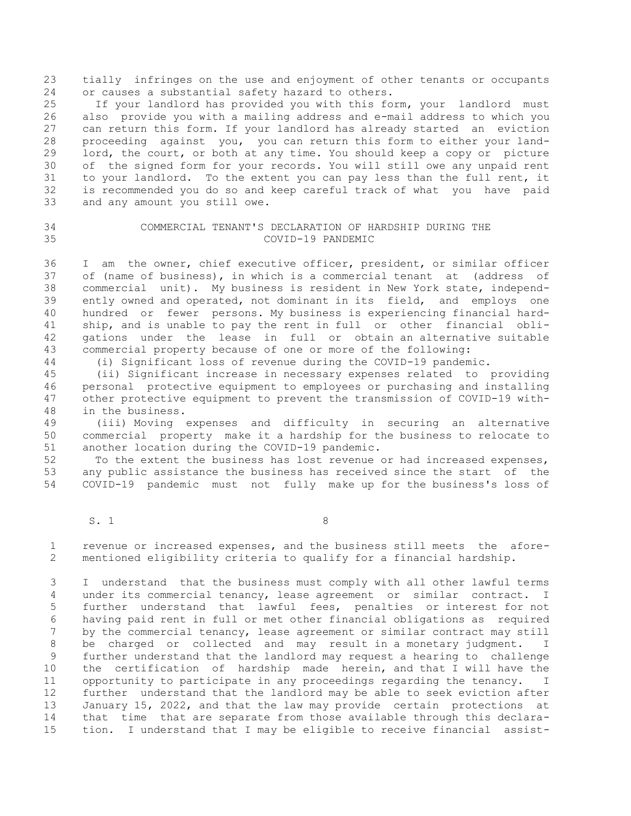23 tially infringes on the use and enjoyment of other tenants or occupants 24 or causes a substantial safety hazard to others.

25 If your landlord has provided you with this form, your landlord must 26 also provide you with a mailing address and e-mail address to which you 27 can return this form. If your landlord has already started an eviction 28 proceeding against you, you can return this form to either your land-29 lord, the court, or both at any time. You should keep a copy or picture 30 of the signed form for your records. You will still owe any unpaid rent 31 to your landlord. To the extent you can pay less than the full rent, it 32 is recommended you do so and keep careful track of what you have paid 33 and any amount you still owe.

# 34 COMMERCIAL TENANT'S DECLARATION OF HARDSHIP DURING THE 35 COVID-19 PANDEMIC

36 I am the owner, chief executive officer, president, or similar officer 37 of (name of business), in which is a commercial tenant at (address of 38 commercial unit). My business is resident in New York state, independ-39 ently owned and operated, not dominant in its field, and employs one 40 hundred or fewer persons. My business is experiencing financial hard-41 ship, and is unable to pay the rent in full or other financial obli-42 gations under the lease in full or obtain an alternative suitable 43 commercial property because of one or more of the following:

44 (i) Significant loss of revenue during the COVID-19 pandemic.

45 (ii) Significant increase in necessary expenses related to providing 46 personal protective equipment to employees or purchasing and installing 47 other protective equipment to prevent the transmission of COVID-19 with-48 in the business.

49 (iii) Moving expenses and difficulty in securing an alternative 50 commercial property make it a hardship for the business to relocate to 51 another location during the COVID-19 pandemic.

52 To the extent the business has lost revenue or had increased expenses, 53 any public assistance the business has received since the start of the 54 COVID-19 pandemic must not fully make up for the business's loss of

 $S. 1$  8

 1 revenue or increased expenses, and the business still meets the afore- 2 mentioned eligibility criteria to qualify for a financial hardship.

 3 I understand that the business must comply with all other lawful terms 4 under its commercial tenancy, lease agreement or similar contract. I 5 further understand that lawful fees, penalties or interest for not 6 having paid rent in full or met other financial obligations as required 7 by the commercial tenancy, lease agreement or similar contract may still 8 be charged or collected and may result in a monetary judgment. I 9 further understand that the landlord may request a hearing to challenge 10 the certification of hardship made herein, and that I will have the 11 opportunity to participate in any proceedings regarding the tenancy. I 12 further understand that the landlord may be able to seek eviction after 13 January 15, 2022, and that the law may provide certain protections at 14 that time that are separate from those available through this declara-15 tion. I understand that I may be eligible to receive financial assist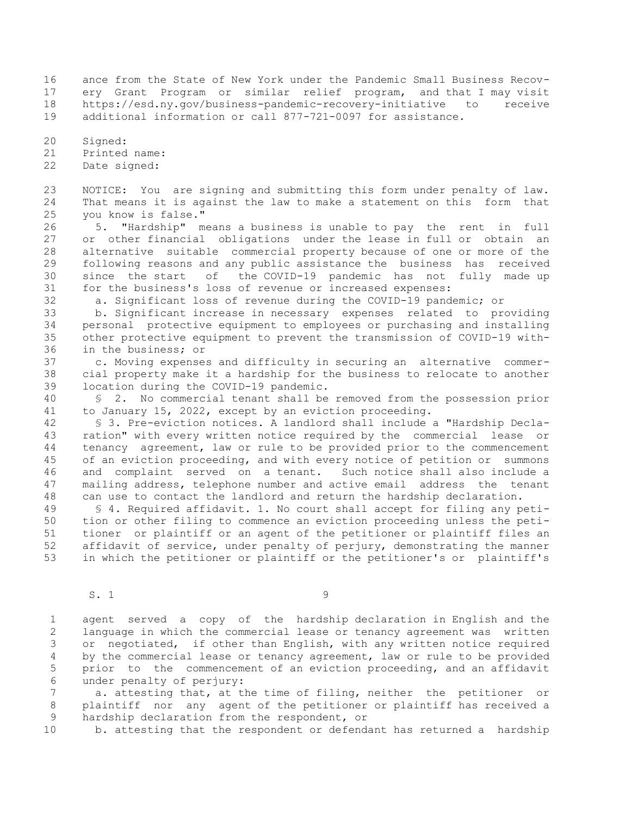16 ance from the State of New York under the Pandemic Small Business Recov-17 ery Grant Program or similar relief program, and that I may visit 18 https://esd.ny.gov/business-pandemic-recovery-initiative to receive 19 additional information or call 877-721-0097 for assistance.

20 Signed:

21 Printed name:

22 Date signed:

23 NOTICE: You are signing and submitting this form under penalty of law. 24 That means it is against the law to make a statement on this form that 25 you know is false."

26 5. "Hardship" means a business is unable to pay the rent in full 27 or other financial obligations under the lease in full or obtain an 28 alternative suitable commercial property because of one or more of the 29 following reasons and any public assistance the business has received 30 since the start of the COVID-19 pandemic has not fully made up 31 for the business's loss of revenue or increased expenses:

32 a. Significant loss of revenue during the COVID-19 pandemic; or

33 b. Significant increase in necessary expenses related to providing 34 personal protective equipment to employees or purchasing and installing 35 other protective equipment to prevent the transmission of COVID-19 with-36 in the business; or

37 c. Moving expenses and difficulty in securing an alternative commer-38 cial property make it a hardship for the business to relocate to another 39 location during the COVID-19 pandemic.

40 § 2. No commercial tenant shall be removed from the possession prior 41 to January 15, 2022, except by an eviction proceeding.

42 § 3. Pre-eviction notices. A landlord shall include a "Hardship Decla-43 ration" with every written notice required by the commercial lease or 44 tenancy agreement, law or rule to be provided prior to the commencement 45 of an eviction proceeding, and with every notice of petition or summons 46 and complaint served on a tenant. Such notice shall also include a 47 mailing address, telephone number and active email address the tenant 48 can use to contact the landlord and return the hardship declaration.

49 § 4. Required affidavit. 1. No court shall accept for filing any peti-50 tion or other filing to commence an eviction proceeding unless the peti-51 tioner or plaintiff or an agent of the petitioner or plaintiff files an 52 affidavit of service, under penalty of perjury, demonstrating the manner 53 in which the petitioner or plaintiff or the petitioner's or plaintiff's

S. 1 9

 1 agent served a copy of the hardship declaration in English and the 2 language in which the commercial lease or tenancy agreement was written 3 or negotiated, if other than English, with any written notice required 4 by the commercial lease or tenancy agreement, law or rule to be provided 5 prior to the commencement of an eviction proceeding, and an affidavit 6 under penalty of perjury:

 7 a. attesting that, at the time of filing, neither the petitioner or 8 plaintiff nor any agent of the petitioner or plaintiff has received a 9 hardship declaration from the respondent, or

10 b. attesting that the respondent or defendant has returned a hardship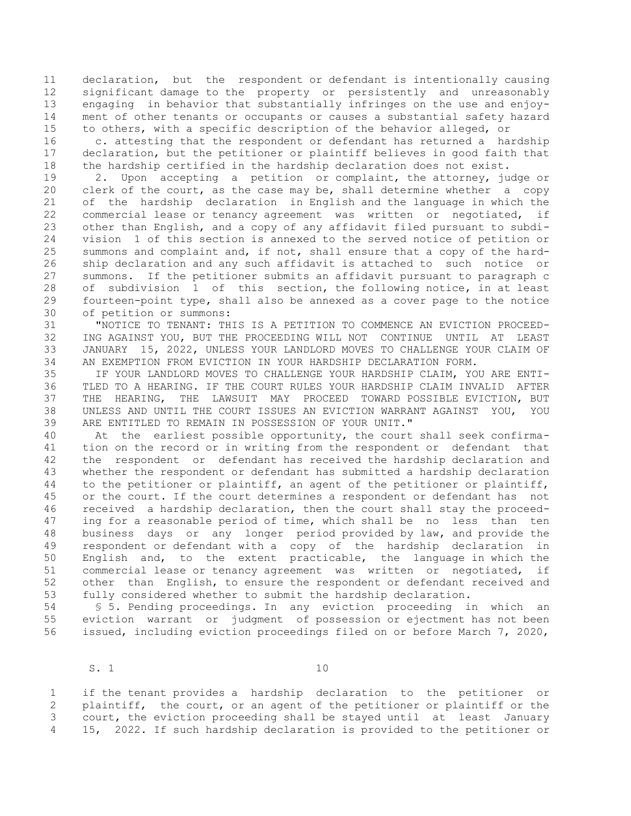11 declaration, but the respondent or defendant is intentionally causing 12 significant damage to the property or persistently and unreasonably 13 engaging in behavior that substantially infringes on the use and enjoy-14 ment of other tenants or occupants or causes a substantial safety hazard 15 to others, with a specific description of the behavior alleged, or

16 c. attesting that the respondent or defendant has returned a hardship 17 declaration, but the petitioner or plaintiff believes in good faith that 18 the hardship certified in the hardship declaration does not exist.

19 2. Upon accepting a petition or complaint, the attorney, judge or 20 clerk of the court, as the case may be, shall determine whether a copy 21 of the hardship declaration in English and the language in which the 22 commercial lease or tenancy agreement was written or negotiated, if 23 other than English, and a copy of any affidavit filed pursuant to subdi-24 vision 1 of this section is annexed to the served notice of petition or 25 summons and complaint and, if not, shall ensure that a copy of the hard-26 ship declaration and any such affidavit is attached to such notice or 27 summons. If the petitioner submits an affidavit pursuant to paragraph c 28 of subdivision 1 of this section, the following notice, in at least 29 fourteen-point type, shall also be annexed as a cover page to the notice 30 of petition or summons:

31 "NOTICE TO TENANT: THIS IS A PETITION TO COMMENCE AN EVICTION PROCEED-32 ING AGAINST YOU, BUT THE PROCEEDING WILL NOT CONTINUE UNTIL AT LEAST 33 JANUARY 15, 2022, UNLESS YOUR LANDLORD MOVES TO CHALLENGE YOUR CLAIM OF 34 AN EXEMPTION FROM EVICTION IN YOUR HARDSHIP DECLARATION FORM.

35 IF YOUR LANDLORD MOVES TO CHALLENGE YOUR HARDSHIP CLAIM, YOU ARE ENTI-36 TLED TO A HEARING. IF THE COURT RULES YOUR HARDSHIP CLAIM INVALID AFTER 37 THE HEARING, THE LAWSUIT MAY PROCEED TOWARD POSSIBLE EVICTION, BUT 38 UNLESS AND UNTIL THE COURT ISSUES AN EVICTION WARRANT AGAINST YOU, YOU 39 ARE ENTITLED TO REMAIN IN POSSESSION OF YOUR UNIT."

40 At the earliest possible opportunity, the court shall seek confirma-41 tion on the record or in writing from the respondent or defendant that 42 the respondent or defendant has received the hardship declaration and 43 whether the respondent or defendant has submitted a hardship declaration 44 to the petitioner or plaintiff, an agent of the petitioner or plaintiff, 45 or the court. If the court determines a respondent or defendant has not 46 received a hardship declaration, then the court shall stay the proceed-47 ing for a reasonable period of time, which shall be no less than ten 48 business days or any longer period provided by law, and provide the 49 respondent or defendant with a copy of the hardship declaration in 50 English and, to the extent practicable, the language in which the 51 commercial lease or tenancy agreement was written or negotiated, if 52 other than English, to ensure the respondent or defendant received and 53 fully considered whether to submit the hardship declaration.

54 § 5. Pending proceedings. In any eviction proceeding in which an 55 eviction warrant or judgment of possession or ejectment has not been 56 issued, including eviction proceedings filed on or before March 7, 2020,

S. 1 10

 1 if the tenant provides a hardship declaration to the petitioner or 2 plaintiff, the court, or an agent of the petitioner or plaintiff or the 3 court, the eviction proceeding shall be stayed until at least January 4 15, 2022. If such hardship declaration is provided to the petitioner or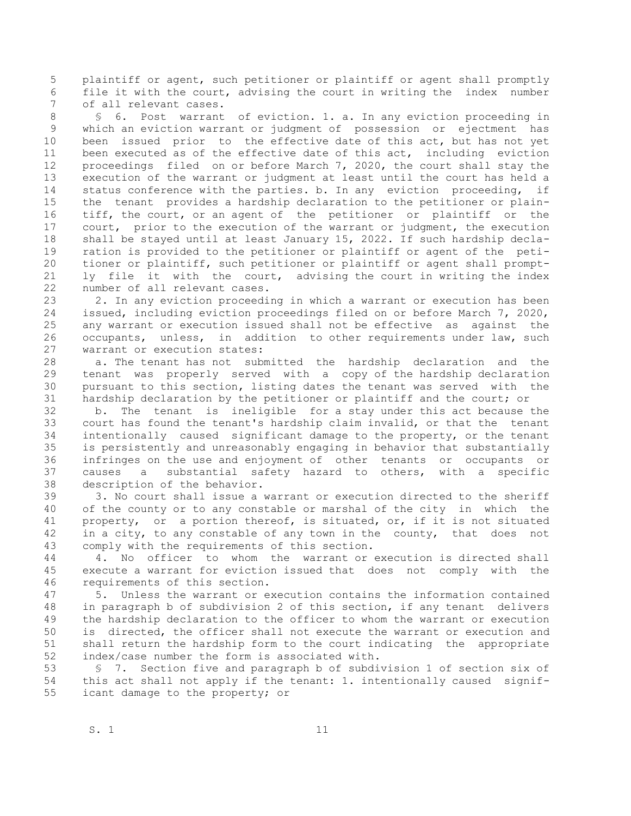5 plaintiff or agent, such petitioner or plaintiff or agent shall promptly 6 file it with the court, advising the court in writing the index number 7 of all relevant cases.

 8 § 6. Post warrant of eviction. 1. a. In any eviction proceeding in 9 which an eviction warrant or judgment of possession or ejectment has 10 been issued prior to the effective date of this act, but has not yet 11 been executed as of the effective date of this act, including eviction 12 proceedings filed on or before March 7, 2020, the court shall stay the 13 execution of the warrant or judgment at least until the court has held a 14 status conference with the parties. b. In any eviction proceeding, if 15 the tenant provides a hardship declaration to the petitioner or plain-16 tiff, the court, or an agent of the petitioner or plaintiff or the 17 court, prior to the execution of the warrant or judgment, the execution 18 shall be stayed until at least January 15, 2022. If such hardship decla-19 ration is provided to the petitioner or plaintiff or agent of the peti-20 tioner or plaintiff, such petitioner or plaintiff or agent shall prompt-21 ly file it with the court, advising the court in writing the index 22 number of all relevant cases.

23 2. In any eviction proceeding in which a warrant or execution has been 24 issued, including eviction proceedings filed on or before March 7, 2020, 25 any warrant or execution issued shall not be effective as against the 26 occupants, unless, in addition to other requirements under law, such 27 warrant or execution states:

28 a. The tenant has not submitted the hardship declaration and the 29 tenant was properly served with a copy of the hardship declaration 30 pursuant to this section, listing dates the tenant was served with the 31 hardship declaration by the petitioner or plaintiff and the court; or

32 b. The tenant is ineligible for a stay under this act because the 33 court has found the tenant's hardship claim invalid, or that the tenant 34 intentionally caused significant damage to the property, or the tenant 35 is persistently and unreasonably engaging in behavior that substantially 36 infringes on the use and enjoyment of other tenants or occupants or 37 causes a substantial safety hazard to others, with a specific 38 description of the behavior.

39 3. No court shall issue a warrant or execution directed to the sheriff 40 of the county or to any constable or marshal of the city in which the 41 property, or a portion thereof, is situated, or, if it is not situated 42 in a city, to any constable of any town in the county, that does not 43 comply with the requirements of this section.

44 4. No officer to whom the warrant or execution is directed shall 45 execute a warrant for eviction issued that does not comply with the 46 requirements of this section.

47 5. Unless the warrant or execution contains the information contained 48 in paragraph b of subdivision 2 of this section, if any tenant delivers 49 the hardship declaration to the officer to whom the warrant or execution 50 is directed, the officer shall not execute the warrant or execution and 51 shall return the hardship form to the court indicating the appropriate 52 index/case number the form is associated with.

53 § 7. Section five and paragraph b of subdivision 1 of section six of 54 this act shall not apply if the tenant: 1. intentionally caused signif-55 icant damage to the property; or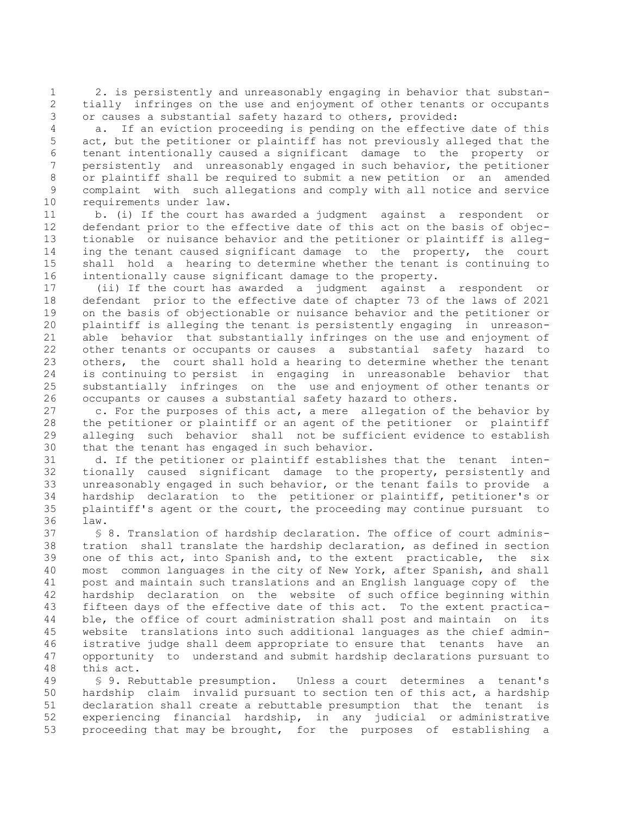1 2. is persistently and unreasonably engaging in behavior that substan- 2 tially infringes on the use and enjoyment of other tenants or occupants 3 or causes a substantial safety hazard to others, provided:

 4 a. If an eviction proceeding is pending on the effective date of this 5 act, but the petitioner or plaintiff has not previously alleged that the 6 tenant intentionally caused a significant damage to the property or 7 persistently and unreasonably engaged in such behavior, the petitioner 8 or plaintiff shall be required to submit a new petition or an amended 9 complaint with such allegations and comply with all notice and service 10 requirements under law.

11 b. (i) If the court has awarded a judgment against a respondent or 12 defendant prior to the effective date of this act on the basis of objec-13 tionable or nuisance behavior and the petitioner or plaintiff is alleg-14 ing the tenant caused significant damage to the property, the court 15 shall hold a hearing to determine whether the tenant is continuing to 16 intentionally cause significant damage to the property.

17 (ii) If the court has awarded a judgment against a respondent or 18 defendant prior to the effective date of chapter 73 of the laws of 2021 19 on the basis of objectionable or nuisance behavior and the petitioner or 20 plaintiff is alleging the tenant is persistently engaging in unreason-21 able behavior that substantially infringes on the use and enjoyment of 22 other tenants or occupants or causes a substantial safety hazard to 23 others, the court shall hold a hearing to determine whether the tenant 24 is continuing to persist in engaging in unreasonable behavior that 25 substantially infringes on the use and enjoyment of other tenants or 26 occupants or causes a substantial safety hazard to others.

27 c. For the purposes of this act, a mere allegation of the behavior by 28 the petitioner or plaintiff or an agent of the petitioner or plaintiff 29 alleging such behavior shall not be sufficient evidence to establish 30 that the tenant has engaged in such behavior.

31 d. If the petitioner or plaintiff establishes that the tenant inten-32 tionally caused significant damage to the property, persistently and 33 unreasonably engaged in such behavior, or the tenant fails to provide a 34 hardship declaration to the petitioner or plaintiff, petitioner's or 35 plaintiff's agent or the court, the proceeding may continue pursuant to 36 law.

37 § 8. Translation of hardship declaration. The office of court adminis-38 tration shall translate the hardship declaration, as defined in section 39 one of this act, into Spanish and, to the extent practicable, the six 40 most common languages in the city of New York, after Spanish, and shall 41 post and maintain such translations and an English language copy of the 42 hardship declaration on the website of such office beginning within 43 fifteen days of the effective date of this act. To the extent practica-44 ble, the office of court administration shall post and maintain on its 45 website translations into such additional languages as the chief admin-46 istrative judge shall deem appropriate to ensure that tenants have an 47 opportunity to understand and submit hardship declarations pursuant to 48 this act.

49 § 9. Rebuttable presumption. Unless a court determines a tenant's 50 hardship claim invalid pursuant to section ten of this act, a hardship 51 declaration shall create a rebuttable presumption that the tenant is 52 experiencing financial hardship, in any judicial or administrative 53 proceeding that may be brought, for the purposes of establishing a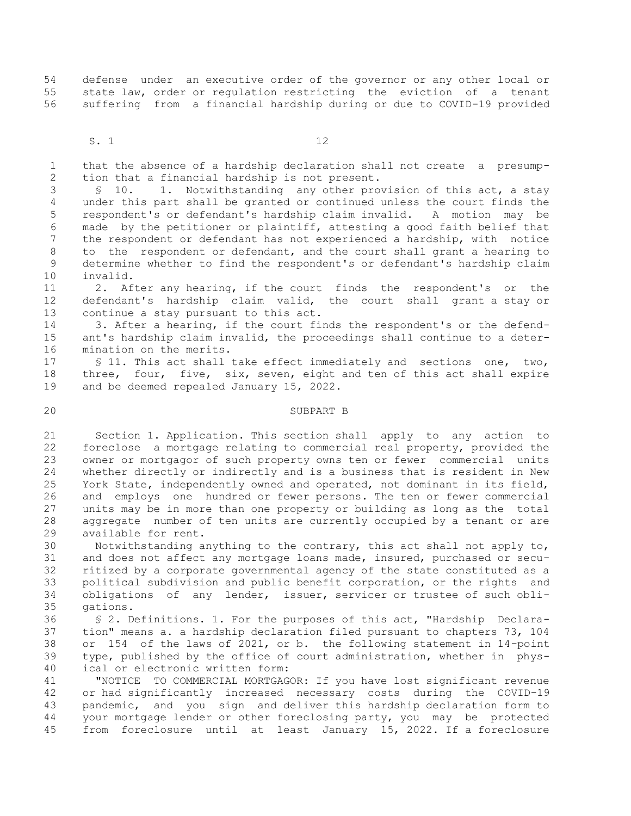54 defense under an executive order of the governor or any other local or 55 state law, order or regulation restricting the eviction of a tenant 56 suffering from a financial hardship during or due to COVID-19 provided

S. 1 12

 1 that the absence of a hardship declaration shall not create a presump- 2 tion that a financial hardship is not present.

 3 § 10. 1. Notwithstanding any other provision of this act, a stay 4 under this part shall be granted or continued unless the court finds the 5 respondent's or defendant's hardship claim invalid. A motion may be 6 made by the petitioner or plaintiff, attesting a good faith belief that 7 the respondent or defendant has not experienced a hardship, with notice 8 to the respondent or defendant, and the court shall grant a hearing to 9 determine whether to find the respondent's or defendant's hardship claim 10 invalid.

11 2. After any hearing, if the court finds the respondent's or the 12 defendant's hardship claim valid, the court shall grant a stay or 13 continue a stay pursuant to this act.

14 3. After a hearing, if the court finds the respondent's or the defend-15 ant's hardship claim invalid, the proceedings shall continue to a deter-16 mination on the merits.

17 § 11. This act shall take effect immediately and sections one, two, 18 three, four, five, six, seven, eight and ten of this act shall expire 19 and be deemed repealed January 15, 2022.

#### 20 SUBPART B

21 Section 1. Application. This section shall apply to any action to 22 foreclose a mortgage relating to commercial real property, provided the 23 owner or mortgagor of such property owns ten or fewer commercial units 24 whether directly or indirectly and is a business that is resident in New 25 York State, independently owned and operated, not dominant in its field, 26 and employs one hundred or fewer persons. The ten or fewer commercial 27 units may be in more than one property or building as long as the total 28 aggregate number of ten units are currently occupied by a tenant or are 29 available for rent.

30 Notwithstanding anything to the contrary, this act shall not apply to, 31 and does not affect any mortgage loans made, insured, purchased or secu-32 ritized by a corporate governmental agency of the state constituted as a 33 political subdivision and public benefit corporation, or the rights and 34 obligations of any lender, issuer, servicer or trustee of such obli-35 gations.

36 § 2. Definitions. 1. For the purposes of this act, "Hardship Declara-37 tion" means a. a hardship declaration filed pursuant to chapters 73, 104 38 or 154 of the laws of 2021, or b. the following statement in 14-point 39 type, published by the office of court administration, whether in phys-40 ical or electronic written form:

41 "NOTICE TO COMMERCIAL MORTGAGOR: If you have lost significant revenue 42 or had significantly increased necessary costs during the COVID-19 43 pandemic, and you sign and deliver this hardship declaration form to 44 your mortgage lender or other foreclosing party, you may be protected 45 from foreclosure until at least January 15, 2022. If a foreclosure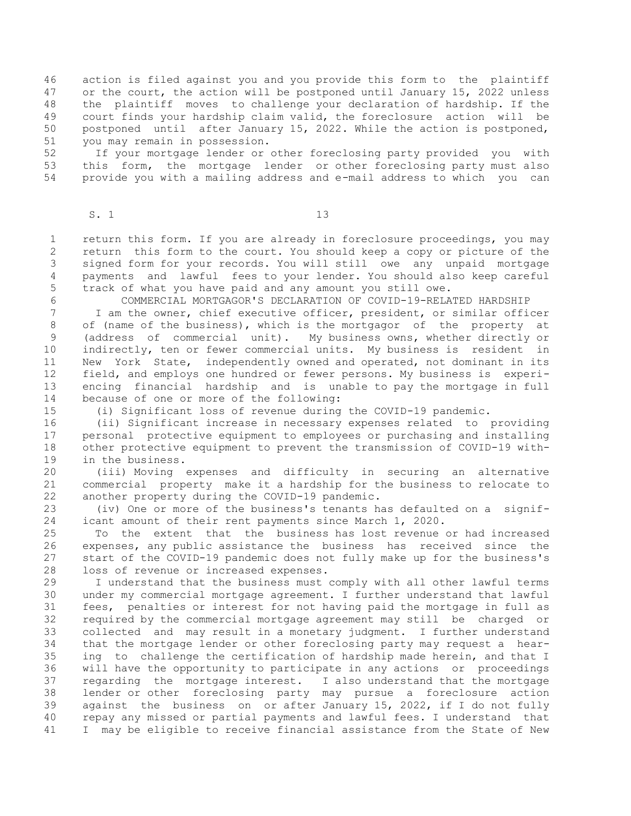46 action is filed against you and you provide this form to the plaintiff 47 or the court, the action will be postponed until January 15, 2022 unless 48 the plaintiff moves to challenge your declaration of hardship. If the 49 court finds your hardship claim valid, the foreclosure action will be 50 postponed until after January 15, 2022. While the action is postponed, 51 you may remain in possession.

52 If your mortgage lender or other foreclosing party provided you with 53 this form, the mortgage lender or other foreclosing party must also 54 provide you with a mailing address and e-mail address to which you can

### S. 1 13

 1 return this form. If you are already in foreclosure proceedings, you may 2 return this form to the court. You should keep a copy or picture of the 3 signed form for your records. You will still owe any unpaid mortgage 4 payments and lawful fees to your lender. You should also keep careful 5 track of what you have paid and any amount you still owe.

6 COMMERCIAL MORTGAGOR'S DECLARATION OF COVID-19-RELATED HARDSHIP

 7 I am the owner, chief executive officer, president, or similar officer 8 of (name of the business), which is the mortgagor of the property at 9 (address of commercial unit). My business owns, whether directly or 10 indirectly, ten or fewer commercial units. My business is resident in 11 New York State, independently owned and operated, not dominant in its 12 field, and employs one hundred or fewer persons. My business is experi-13 encing financial hardship and is unable to pay the mortgage in full 14 because of one or more of the following:

15 (i) Significant loss of revenue during the COVID-19 pandemic.

16 (ii) Significant increase in necessary expenses related to providing 17 personal protective equipment to employees or purchasing and installing 18 other protective equipment to prevent the transmission of COVID-19 with-19 in the business.

20 (iii) Moving expenses and difficulty in securing an alternative 21 commercial property make it a hardship for the business to relocate to 22 another property during the COVID-19 pandemic.

23 (iv) One or more of the business's tenants has defaulted on a signif-24 icant amount of their rent payments since March 1, 2020.

25 To the extent that the business has lost revenue or had increased 26 expenses, any public assistance the business has received since the 27 start of the COVID-19 pandemic does not fully make up for the business's 28 loss of revenue or increased expenses.

29 I understand that the business must comply with all other lawful terms 30 under my commercial mortgage agreement. I further understand that lawful 31 fees, penalties or interest for not having paid the mortgage in full as 32 required by the commercial mortgage agreement may still be charged or 33 collected and may result in a monetary judgment. I further understand 34 that the mortgage lender or other foreclosing party may request a hear-35 ing to challenge the certification of hardship made herein, and that I 36 will have the opportunity to participate in any actions or proceedings 37 regarding the mortgage interest. I also understand that the mortgage 38 lender or other foreclosing party may pursue a foreclosure action 39 against the business on or after January 15, 2022, if I do not fully 40 repay any missed or partial payments and lawful fees. I understand that 41 I may be eligible to receive financial assistance from the State of New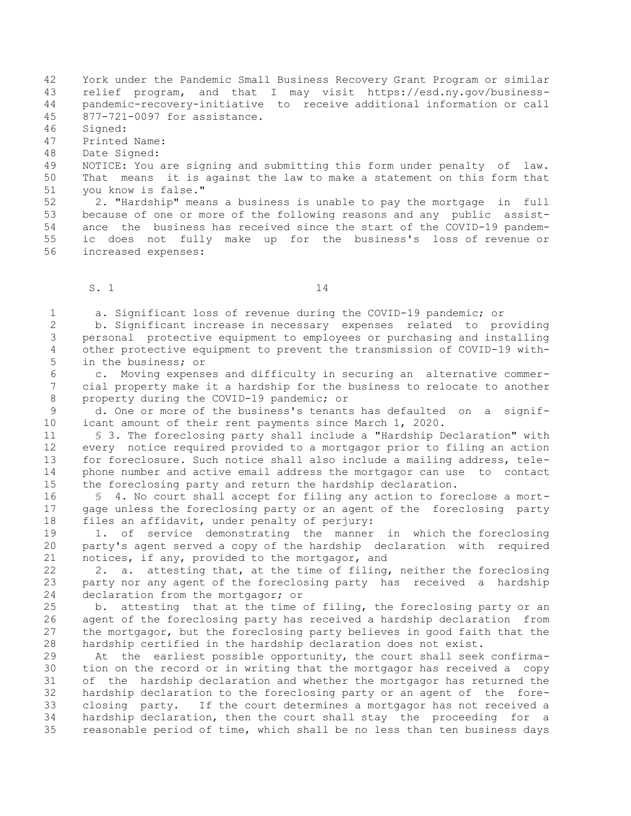42 York under the Pandemic Small Business Recovery Grant Program or similar 43 relief program, and that I may visit https://esd.ny.gov/business-44 pandemic-recovery-initiative to receive additional information or call 45 877-721-0097 for assistance.

46 Signed:

47 Printed Name:

48 Date Signed:

49 NOTICE: You are signing and submitting this form under penalty of law. 50 That means it is against the law to make a statement on this form that 51 you know is false."

52 2. "Hardship" means a business is unable to pay the mortgage in full 53 because of one or more of the following reasons and any public assist-54 ance the business has received since the start of the COVID-19 pandem-55 ic does not fully make up for the business's loss of revenue or 56 increased expenses:

 $S. 1$  14

1 a. Significant loss of revenue during the COVID-19 pandemic; or

 2 b. Significant increase in necessary expenses related to providing 3 personal protective equipment to employees or purchasing and installing 4 other protective equipment to prevent the transmission of COVID-19 with- 5 in the business; or

 6 c. Moving expenses and difficulty in securing an alternative commer- 7 cial property make it a hardship for the business to relocate to another 8 property during the COVID-19 pandemic; or

 9 d. One or more of the business's tenants has defaulted on a signif-10 icant amount of their rent payments since March 1, 2020.

11 § 3. The foreclosing party shall include a "Hardship Declaration" with 12 every notice required provided to a mortgagor prior to filing an action 13 for foreclosure. Such notice shall also include a mailing address, tele-14 phone number and active email address the mortgagor can use to contact 15 the foreclosing party and return the hardship declaration.

16 § 4. No court shall accept for filing any action to foreclose a mort-17 gage unless the foreclosing party or an agent of the foreclosing party 18 files an affidavit, under penalty of perjury:

19 1. of service demonstrating the manner in which the foreclosing 20 party's agent served a copy of the hardship declaration with required 21 notices, if any, provided to the mortgagor, and

22 2. a. attesting that, at the time of filing, neither the foreclosing 23 party nor any agent of the foreclosing party has received a hardship 24 declaration from the mortgagor; or

25 b. attesting that at the time of filing, the foreclosing party or an 26 agent of the foreclosing party has received a hardship declaration from 27 the mortgagor, but the foreclosing party believes in good faith that the 28 hardship certified in the hardship declaration does not exist.

29 At the earliest possible opportunity, the court shall seek confirma-30 tion on the record or in writing that the mortgagor has received a copy 31 of the hardship declaration and whether the mortgagor has returned the 32 hardship declaration to the foreclosing party or an agent of the fore-33 closing party. If the court determines a mortgagor has not received a 34 hardship declaration, then the court shall stay the proceeding for a 35 reasonable period of time, which shall be no less than ten business days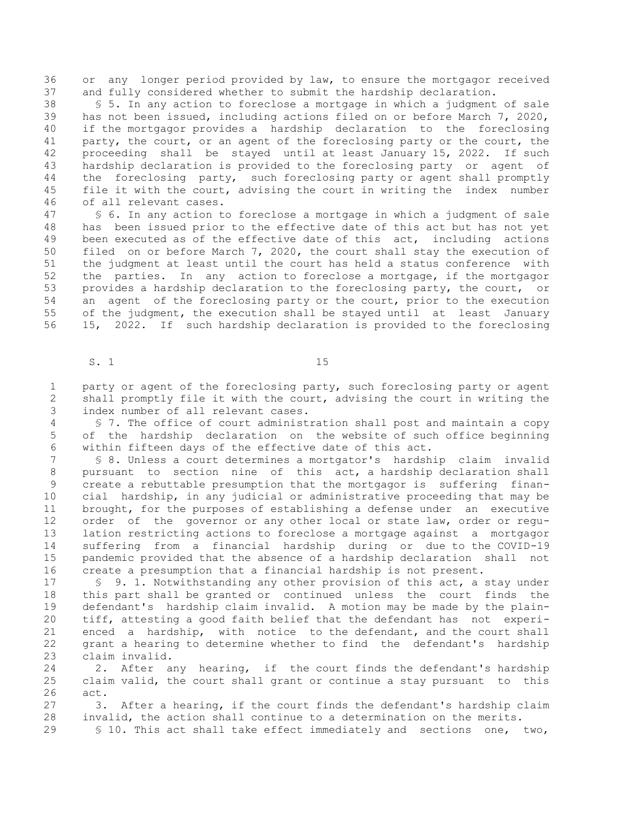36 or any longer period provided by law, to ensure the mortgagor received 37 and fully considered whether to submit the hardship declaration.

38 § 5. In any action to foreclose a mortgage in which a judgment of sale 39 has not been issued, including actions filed on or before March 7, 2020, 40 if the mortgagor provides a hardship declaration to the foreclosing 41 party, the court, or an agent of the foreclosing party or the court, the 42 proceeding shall be stayed until at least January 15, 2022. If such 43 hardship declaration is provided to the foreclosing party or agent of 44 the foreclosing party, such foreclosing party or agent shall promptly 45 file it with the court, advising the court in writing the index number 46 of all relevant cases.

47 § 6. In any action to foreclose a mortgage in which a judgment of sale 48 has been issued prior to the effective date of this act but has not yet 49 been executed as of the effective date of this act, including actions 50 filed on or before March 7, 2020, the court shall stay the execution of 51 the judgment at least until the court has held a status conference with 52 the parties. In any action to foreclose a mortgage, if the mortgagor 53 provides a hardship declaration to the foreclosing party, the court, or 54 an agent of the foreclosing party or the court, prior to the execution 55 of the judgment, the execution shall be stayed until at least January 56 15, 2022. If such hardship declaration is provided to the foreclosing

S. 1 15

 1 party or agent of the foreclosing party, such foreclosing party or agent 2 shall promptly file it with the court, advising the court in writing the 3 index number of all relevant cases.

 4 § 7. The office of court administration shall post and maintain a copy 5 of the hardship declaration on the website of such office beginning 6 within fifteen days of the effective date of this act.

 7 § 8. Unless a court determines a mortgator's hardship claim invalid 8 pursuant to section nine of this act, a hardship declaration shall 9 create a rebuttable presumption that the mortgagor is suffering finan-10 cial hardship, in any judicial or administrative proceeding that may be 11 brought, for the purposes of establishing a defense under an executive 12 order of the governor or any other local or state law, order or regu-13 lation restricting actions to foreclose a mortgage against a mortgagor 14 suffering from a financial hardship during or due to the COVID-19 15 pandemic provided that the absence of a hardship declaration shall not 16 create a presumption that a financial hardship is not present.

17 § 9. 1. Notwithstanding any other provision of this act, a stay under 18 this part shall be granted or continued unless the court finds the 19 defendant's hardship claim invalid. A motion may be made by the plain-20 tiff, attesting a good faith belief that the defendant has not experi-21 enced a hardship, with notice to the defendant, and the court shall 22 grant a hearing to determine whether to find the defendant's hardship 23 claim invalid.

24 2. After any hearing, if the court finds the defendant's hardship 25 claim valid, the court shall grant or continue a stay pursuant to this 26 act.

27 3. After a hearing, if the court finds the defendant's hardship claim 28 invalid, the action shall continue to a determination on the merits.

29 § 10. This act shall take effect immediately and sections one, two,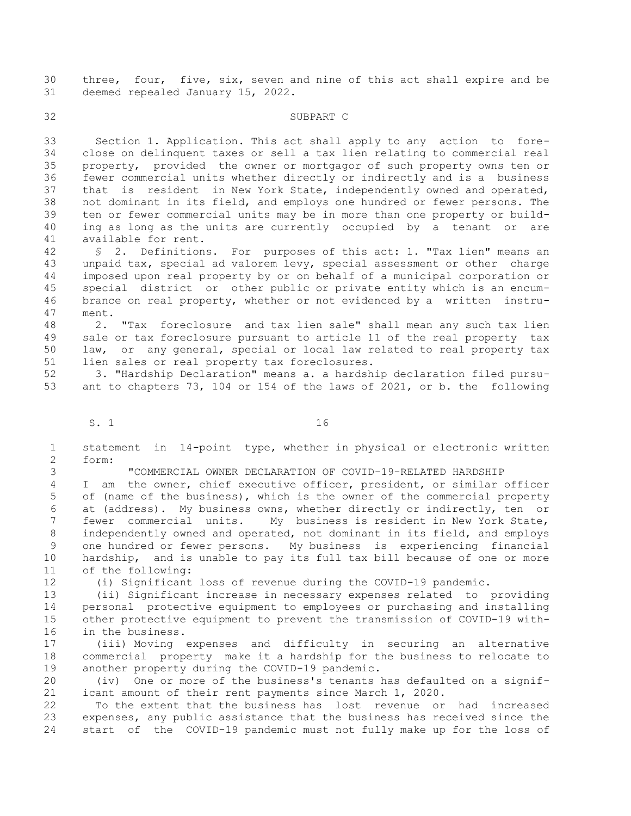30 three, four, five, six, seven and nine of this act shall expire and be 31 deemed repealed January 15, 2022.

32 SUBPART C

33 Section 1. Application. This act shall apply to any action to fore-34 close on delinquent taxes or sell a tax lien relating to commercial real 35 property, provided the owner or mortgagor of such property owns ten or 36 fewer commercial units whether directly or indirectly and is a business 37 that is resident in New York State, independently owned and operated, 38 not dominant in its field, and employs one hundred or fewer persons. The 39 ten or fewer commercial units may be in more than one property or build-40 ing as long as the units are currently occupied by a tenant or are 41 available for rent.

42 § 2. Definitions. For purposes of this act: 1. "Tax lien" means an 43 unpaid tax, special ad valorem levy, special assessment or other charge 44 imposed upon real property by or on behalf of a municipal corporation or 45 special district or other public or private entity which is an encum-46 brance on real property, whether or not evidenced by a written instru-47 ment.

48 2. "Tax foreclosure and tax lien sale" shall mean any such tax lien 49 sale or tax foreclosure pursuant to article 11 of the real property tax 50 law, or any general, special or local law related to real property tax 51 lien sales or real property tax foreclosures.

52 3. "Hardship Declaration" means a. a hardship declaration filed pursu-53 ant to chapters 73, 104 or 154 of the laws of 2021, or b. the following

S. 1 16

 1 statement in 14-point type, whether in physical or electronic written 2 form:

3 "COMMERCIAL OWNER DECLARATION OF COVID-19-RELATED HARDSHIP

 4 I am the owner, chief executive officer, president, or similar officer 5 of (name of the business), which is the owner of the commercial property 6 at (address). My business owns, whether directly or indirectly, ten or 7 fewer commercial units. My business is resident in New York State, 8 independently owned and operated, not dominant in its field, and employs 9 one hundred or fewer persons. My business is experiencing financial 10 hardship, and is unable to pay its full tax bill because of one or more 11 of the following:

12 (i) Significant loss of revenue during the COVID-19 pandemic.

13 (ii) Significant increase in necessary expenses related to providing 14 personal protective equipment to employees or purchasing and installing 15 other protective equipment to prevent the transmission of COVID-19 with-16 in the business.

17 (iii) Moving expenses and difficulty in securing an alternative 18 commercial property make it a hardship for the business to relocate to 19 another property during the COVID-19 pandemic.

20 (iv) One or more of the business's tenants has defaulted on a signif-21 icant amount of their rent payments since March 1, 2020.

22 To the extent that the business has lost revenue or had increased 23 expenses, any public assistance that the business has received since the 24 start of the COVID-19 pandemic must not fully make up for the loss of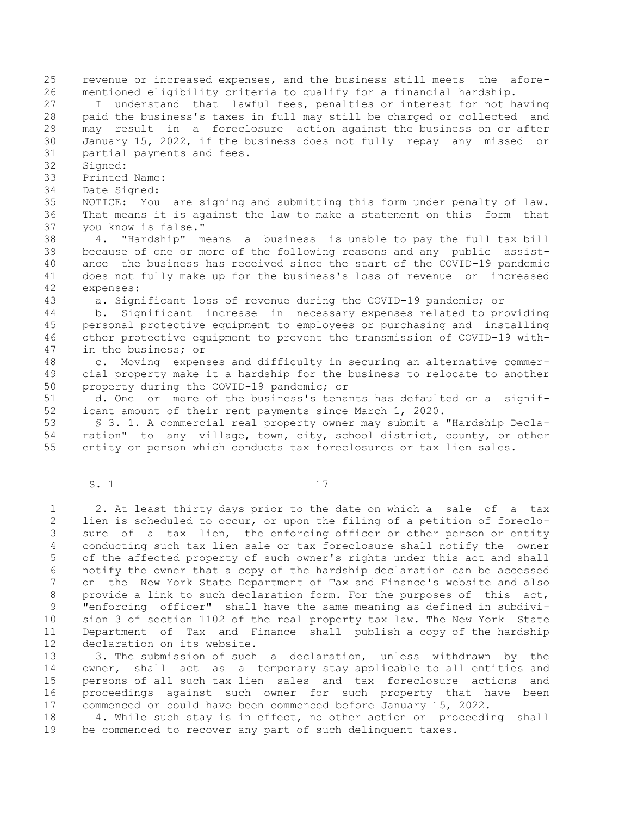25 revenue or increased expenses, and the business still meets the afore-26 mentioned eligibility criteria to qualify for a financial hardship. 27 I understand that lawful fees, penalties or interest for not having 28 paid the business's taxes in full may still be charged or collected and 29 may result in a foreclosure action against the business on or after 30 January 15, 2022, if the business does not fully repay any missed or 31 partial payments and fees. 32 Signed: 33 Printed Name: 34 Date Signed: 35 NOTICE: You are signing and submitting this form under penalty of law. 36 That means it is against the law to make a statement on this form that 37 you know is false." 38 4. "Hardship" means a business is unable to pay the full tax bill 39 because of one or more of the following reasons and any public assist-40 ance the business has received since the start of the COVID-19 pandemic 41 does not fully make up for the business's loss of revenue or increased 42 expenses: 43 a. Significant loss of revenue during the COVID-19 pandemic; or 44 b. Significant increase in necessary expenses related to providing 45 personal protective equipment to employees or purchasing and installing 46 other protective equipment to prevent the transmission of COVID-19 with-47 in the business; or 48 c. Moving expenses and difficulty in securing an alternative commer-49 cial property make it a hardship for the business to relocate to another 50 property during the COVID-19 pandemic; or 51 d. One or more of the business's tenants has defaulted on a signif-52 icant amount of their rent payments since March 1, 2020. 53 § 3. 1. A commercial real property owner may submit a "Hardship Decla-

54 ration" to any village, town, city, school district, county, or other 55 entity or person which conducts tax foreclosures or tax lien sales.

S. 1 17

 1 2. At least thirty days prior to the date on which a sale of a tax 2 lien is scheduled to occur, or upon the filing of a petition of foreclo- 3 sure of a tax lien, the enforcing officer or other person or entity 4 conducting such tax lien sale or tax foreclosure shall notify the owner 5 of the affected property of such owner's rights under this act and shall 6 notify the owner that a copy of the hardship declaration can be accessed 7 on the New York State Department of Tax and Finance's website and also 8 provide a link to such declaration form. For the purposes of this act, 9 "enforcing officer" shall have the same meaning as defined in subdivi-10 sion 3 of section 1102 of the real property tax law. The New York State 11 Department of Tax and Finance shall publish a copy of the hardship 12 declaration on its website.

13 3. The submission of such a declaration, unless withdrawn by the 14 owner, shall act as a temporary stay applicable to all entities and 15 persons of all such tax lien sales and tax foreclosure actions and 16 proceedings against such owner for such property that have been 17 commenced or could have been commenced before January 15, 2022.

18 4. While such stay is in effect, no other action or proceeding shall 19 be commenced to recover any part of such delinquent taxes.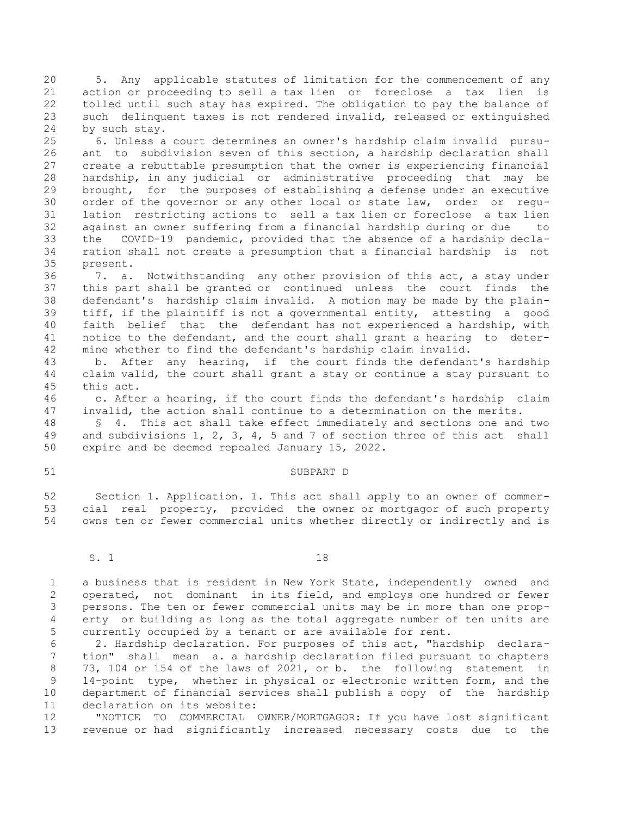20 5. Any applicable statutes of limitation for the commencement of any 21 action or proceeding to sell a tax lien or foreclose a tax lien is 22 tolled until such stay has expired. The obligation to pay the balance of 23 such delinquent taxes is not rendered invalid, released or extinguished 24 by such stay.

25 6. Unless a court determines an owner's hardship claim invalid pursu-26 ant to subdivision seven of this section, a hardship declaration shall 27 create a rebuttable presumption that the owner is experiencing financial 28 hardship, in any judicial or administrative proceeding that may be 29 brought, for the purposes of establishing a defense under an executive 30 order of the governor or any other local or state law, order or regu-31 lation restricting actions to sell a tax lien or foreclose a tax lien 32 against an owner suffering from a financial hardship during or due to 33 the COVID-19 pandemic, provided that the absence of a hardship decla-34 ration shall not create a presumption that a financial hardship is not 35 present.

36 7. a. Notwithstanding any other provision of this act, a stay under 37 this part shall be granted or continued unless the court finds the 38 defendant's hardship claim invalid. A motion may be made by the plain-39 tiff, if the plaintiff is not a governmental entity, attesting a good 40 faith belief that the defendant has not experienced a hardship, with 41 notice to the defendant, and the court shall grant a hearing to deter-42 mine whether to find the defendant's hardship claim invalid.

43 b. After any hearing, if the court finds the defendant's hardship 44 claim valid, the court shall grant a stay or continue a stay pursuant to 45 this act.

46 c. After a hearing, if the court finds the defendant's hardship claim 47 invalid, the action shall continue to a determination on the merits.

48 § 4. This act shall take effect immediately and sections one and two 49 and subdivisions 1, 2, 3, 4, 5 and 7 of section three of this act shall 50 expire and be deemed repealed January 15, 2022.

## 51 SUBPART D

52 Section 1. Application. 1. This act shall apply to an owner of commer-53 cial real property, provided the owner or mortgagor of such property 54 owns ten or fewer commercial units whether directly or indirectly and is

S. 1 18

 1 a business that is resident in New York State, independently owned and 2 operated, not dominant in its field, and employs one hundred or fewer 3 persons. The ten or fewer commercial units may be in more than one prop- 4 erty or building as long as the total aggregate number of ten units are 5 currently occupied by a tenant or are available for rent.

 6 2. Hardship declaration. For purposes of this act, "hardship declara- 7 tion" shall mean a. a hardship declaration filed pursuant to chapters 8 73, 104 or 154 of the laws of 2021, or b. the following statement in 9 14-point type, whether in physical or electronic written form, and the 10 department of financial services shall publish a copy of the hardship 11 declaration on its website:

12 "NOTICE TO COMMERCIAL OWNER/MORTGAGOR: If you have lost significant 13 revenue or had significantly increased necessary costs due to the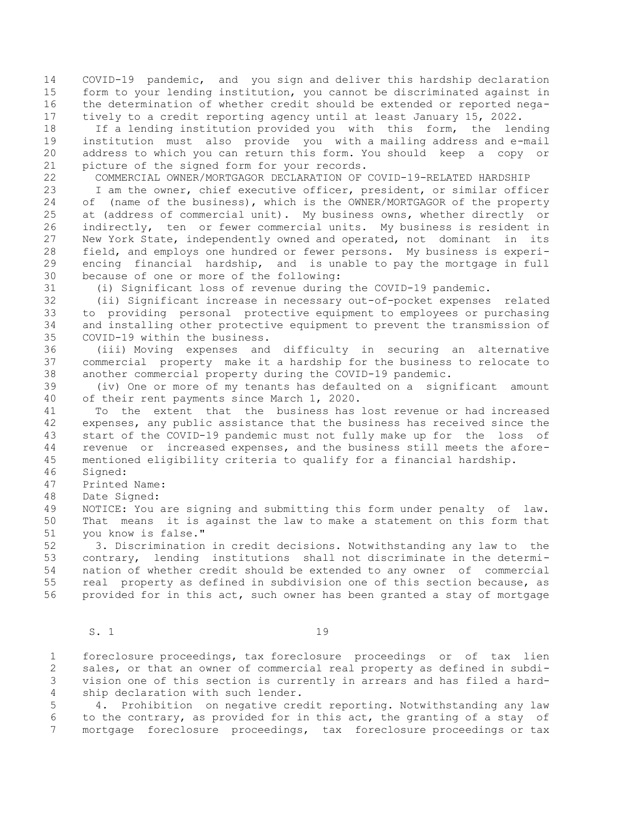14 COVID-19 pandemic, and you sign and deliver this hardship declaration 15 form to your lending institution, you cannot be discriminated against in 16 the determination of whether credit should be extended or reported nega-17 tively to a credit reporting agency until at least January 15, 2022.

18 If a lending institution provided you with this form, the lending 19 institution must also provide you with a mailing address and e-mail 20 address to which you can return this form. You should keep a copy or 21 picture of the signed form for your records.

22 COMMERCIAL OWNER/MORTGAGOR DECLARATION OF COVID-19-RELATED HARDSHIP

23 I am the owner, chief executive officer, president, or similar officer 24 of (name of the business), which is the OWNER/MORTGAGOR of the property 25 at (address of commercial unit). My business owns, whether directly or 26 indirectly, ten or fewer commercial units. My business is resident in 27 New York State, independently owned and operated, not dominant in its 28 field, and employs one hundred or fewer persons. My business is experi-29 encing financial hardship, and is unable to pay the mortgage in full 30 because of one or more of the following:

31 (i) Significant loss of revenue during the COVID-19 pandemic.

32 (ii) Significant increase in necessary out-of-pocket expenses related 33 to providing personal protective equipment to employees or purchasing 34 and installing other protective equipment to prevent the transmission of 35 COVID-19 within the business.

36 (iii) Moving expenses and difficulty in securing an alternative 37 commercial property make it a hardship for the business to relocate to 38 another commercial property during the COVID-19 pandemic.

39 (iv) One or more of my tenants has defaulted on a significant amount 40 of their rent payments since March 1, 2020.

41 To the extent that the business has lost revenue or had increased 42 expenses, any public assistance that the business has received since the 43 start of the COVID-19 pandemic must not fully make up for the loss of 44 revenue or increased expenses, and the business still meets the afore-45 mentioned eligibility criteria to qualify for a financial hardship.

46 Signed:

47 Printed Name:

48 Date Signed:

49 NOTICE: You are signing and submitting this form under penalty of law. 50 That means it is against the law to make a statement on this form that 51 you know is false."

52 3. Discrimination in credit decisions. Notwithstanding any law to the 53 contrary, lending institutions shall not discriminate in the determi-54 nation of whether credit should be extended to any owner of commercial 55 real property as defined in subdivision one of this section because, as 56 provided for in this act, such owner has been granted a stay of mortgage

S. 1 19

 1 foreclosure proceedings, tax foreclosure proceedings or of tax lien 2 sales, or that an owner of commercial real property as defined in subdi- 3 vision one of this section is currently in arrears and has filed a hard- 4 ship declaration with such lender.

 5 4. Prohibition on negative credit reporting. Notwithstanding any law 6 to the contrary, as provided for in this act, the granting of a stay of 7 mortgage foreclosure proceedings, tax foreclosure proceedings or tax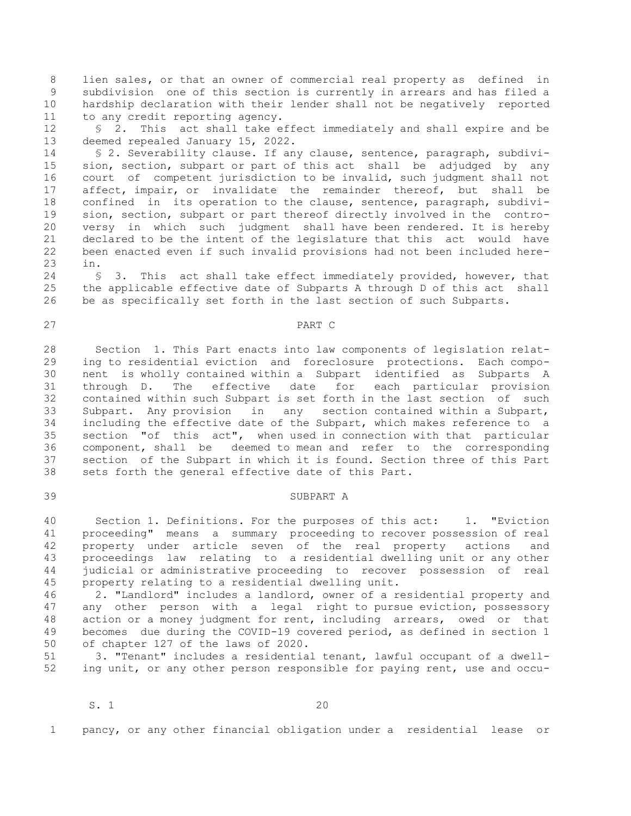8 lien sales, or that an owner of commercial real property as defined in 9 subdivision one of this section is currently in arrears and has filed a 10 hardship declaration with their lender shall not be negatively reported 11 to any credit reporting agency.

12 § 2. This act shall take effect immediately and shall expire and be 13 deemed repealed January 15, 2022.

14 § 2. Severability clause. If any clause, sentence, paragraph, subdivi-15 sion, section, subpart or part of this act shall be adjudged by any 16 court of competent jurisdiction to be invalid, such judgment shall not 17 affect, impair, or invalidate the remainder thereof, but shall be 18 confined in its operation to the clause, sentence, paragraph, subdivi-19 sion, section, subpart or part thereof directly involved in the contro-20 versy in which such judgment shall have been rendered. It is hereby 21 declared to be the intent of the legislature that this act would have 22 been enacted even if such invalid provisions had not been included here-23 in.

24 § 3. This act shall take effect immediately provided, however, that 25 the applicable effective date of Subparts A through D of this act shall 26 be as specifically set forth in the last section of such Subparts.

# 27 PART C

28 Section 1. This Part enacts into law components of legislation relat-29 ing to residential eviction and foreclosure protections. Each compo-30 nent is wholly contained within a Subpart identified as Subparts A 31 through D. The effective date for each particular provision 32 contained within such Subpart is set forth in the last section of such 33 Subpart. Any provision in any section contained within a Subpart, 34 including the effective date of the Subpart, which makes reference to a 35 section "of this act", when used in connection with that particular 36 component, shall be deemed to mean and refer to the corresponding 37 section of the Subpart in which it is found. Section three of this Part 38 sets forth the general effective date of this Part.

#### 39 SUBPART A

40 Section 1. Definitions. For the purposes of this act: 1. "Eviction 41 proceeding" means a summary proceeding to recover possession of real 42 property under article seven of the real property actions and 43 proceedings law relating to a residential dwelling unit or any other 44 judicial or administrative proceeding to recover possession of real 45 property relating to a residential dwelling unit.

46 2. "Landlord" includes a landlord, owner of a residential property and 47 any other person with a legal right to pursue eviction, possessory 48 action or a money judgment for rent, including arrears, owed or that 49 becomes due during the COVID-19 covered period, as defined in section 1 50 of chapter 127 of the laws of 2020.

51 3. "Tenant" includes a residential tenant, lawful occupant of a dwell-52 ing unit, or any other person responsible for paying rent, use and occu-

1 pancy, or any other financial obligation under a residential lease or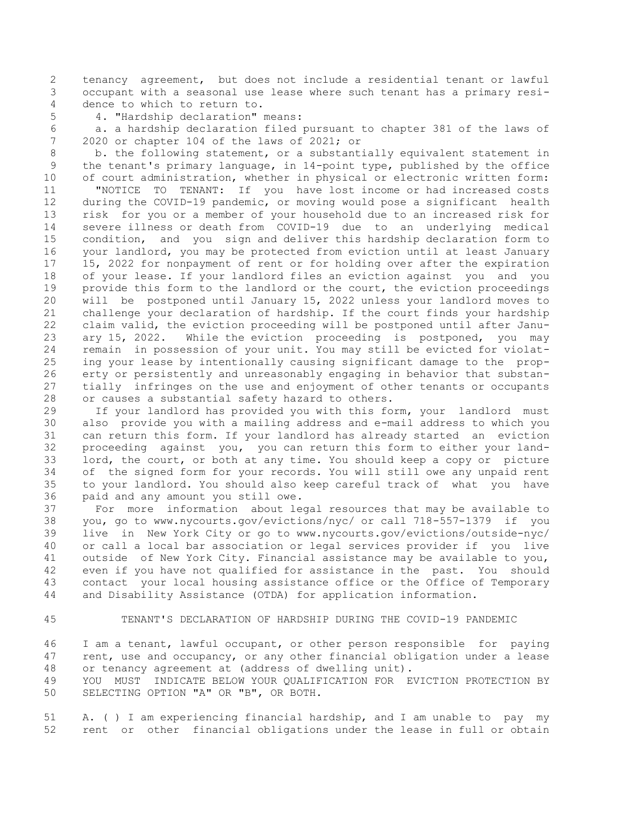2 tenancy agreement, but does not include a residential tenant or lawful 3 occupant with a seasonal use lease where such tenant has a primary resi- 4 dence to which to return to.

5 4. "Hardship declaration" means:

 6 a. a hardship declaration filed pursuant to chapter 381 of the laws of 7 2020 or chapter 104 of the laws of 2021; or

 8 b. the following statement, or a substantially equivalent statement in 9 the tenant's primary language, in 14-point type, published by the office 10 of court administration, whether in physical or electronic written form: 11 "NOTICE TO TENANT: If you have lost income or had increased costs 12 during the COVID-19 pandemic, or moving would pose a significant health 13 risk for you or a member of your household due to an increased risk for 14 severe illness or death from COVID-19 due to an underlying medical 15 condition, and you sign and deliver this hardship declaration form to 16 your landlord, you may be protected from eviction until at least January 17 15, 2022 for nonpayment of rent or for holding over after the expiration 18 of your lease. If your landlord files an eviction against you and you 19 provide this form to the landlord or the court, the eviction proceedings 20 will be postponed until January 15, 2022 unless your landlord moves to 21 challenge your declaration of hardship. If the court finds your hardship 22 claim valid, the eviction proceeding will be postponed until after Janu-23 ary 15, 2022. While the eviction proceeding is postponed, you may 24 remain in possession of your unit. You may still be evicted for violat-25 ing your lease by intentionally causing significant damage to the prop-26 erty or persistently and unreasonably engaging in behavior that substan-27 tially infringes on the use and enjoyment of other tenants or occupants 28 or causes a substantial safety hazard to others.

29 If your landlord has provided you with this form, your landlord must 30 also provide you with a mailing address and e-mail address to which you 31 can return this form. If your landlord has already started an eviction 32 proceeding against you, you can return this form to either your land-33 lord, the court, or both at any time. You should keep a copy or picture 34 of the signed form for your records. You will still owe any unpaid rent 35 to your landlord. You should also keep careful track of what you have 36 paid and any amount you still owe.

37 For more information about legal resources that may be available to 38 you, go to www.nycourts.gov/evictions/nyc/ or call 718-557-1379 if you 39 live in New York City or go to www.nycourts.gov/evictions/outside-nyc/ 40 or call a local bar association or legal services provider if you live 41 outside of New York City. Financial assistance may be available to you, 42 even if you have not qualified for assistance in the past. You should 43 contact your local housing assistance office or the Office of Temporary 44 and Disability Assistance (OTDA) for application information.

45 TENANT'S DECLARATION OF HARDSHIP DURING THE COVID-19 PANDEMIC

46 I am a tenant, lawful occupant, or other person responsible for paying 47 rent, use and occupancy, or any other financial obligation under a lease 48 or tenancy agreement at (address of dwelling unit).

49 YOU MUST INDICATE BELOW YOUR QUALIFICATION FOR EVICTION PROTECTION BY 50 SELECTING OPTION "A" OR "B", OR BOTH.

51 A. ( ) I am experiencing financial hardship, and I am unable to pay my 52 rent or other financial obligations under the lease in full or obtain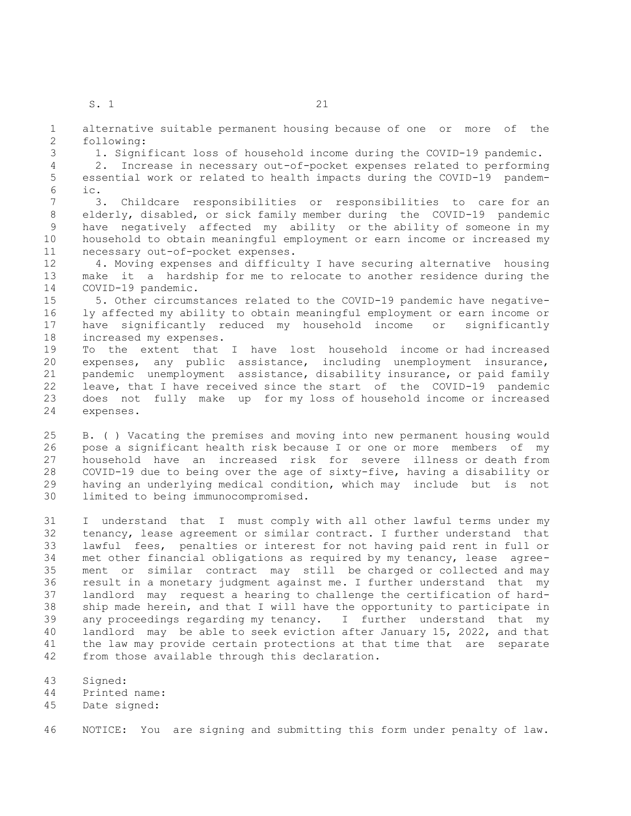1 alternative suitable permanent housing because of one or more of the 2 following:

3 1. Significant loss of household income during the COVID-19 pandemic.

 4 2. Increase in necessary out-of-pocket expenses related to performing 5 essential work or related to health impacts during the COVID-19 pandem- 6 ic.

 7 3. Childcare responsibilities or responsibilities to care for an 8 elderly, disabled, or sick family member during the COVID-19 pandemic 9 have negatively affected my ability or the ability of someone in my 10 household to obtain meaningful employment or earn income or increased my 11 necessary out-of-pocket expenses.

12 4. Moving expenses and difficulty I have securing alternative housing 13 make it a hardship for me to relocate to another residence during the 14 COVID-19 pandemic.

15 5. Other circumstances related to the COVID-19 pandemic have negative-16 ly affected my ability to obtain meaningful employment or earn income or 17 have significantly reduced my household income or significantly 18 increased my expenses.

19 To the extent that I have lost household income or had increased 20 expenses, any public assistance, including unemployment insurance, 21 pandemic unemployment assistance, disability insurance, or paid family 22 leave, that I have received since the start of the COVID-19 pandemic 23 does not fully make up for my loss of household income or increased 24 expenses.

25 B. ( ) Vacating the premises and moving into new permanent housing would 26 pose a significant health risk because I or one or more members of my 27 household have an increased risk for severe illness or death from 28 COVID-19 due to being over the age of sixty-five, having a disability or 29 having an underlying medical condition, which may include but is not 30 limited to being immunocompromised.

31 I understand that I must comply with all other lawful terms under my 32 tenancy, lease agreement or similar contract. I further understand that 33 lawful fees, penalties or interest for not having paid rent in full or 34 met other financial obligations as required by my tenancy, lease agree-35 ment or similar contract may still be charged or collected and may 36 result in a monetary judgment against me. I further understand that my 37 landlord may request a hearing to challenge the certification of hard-38 ship made herein, and that I will have the opportunity to participate in 39 any proceedings regarding my tenancy. I further understand that my 40 landlord may be able to seek eviction after January 15, 2022, and that 41 the law may provide certain protections at that time that are separate 42 from those available through this declaration.

- 43 Signed:
- 44 Printed name:
- 45 Date signed:

46 NOTICE: You are signing and submitting this form under penalty of law.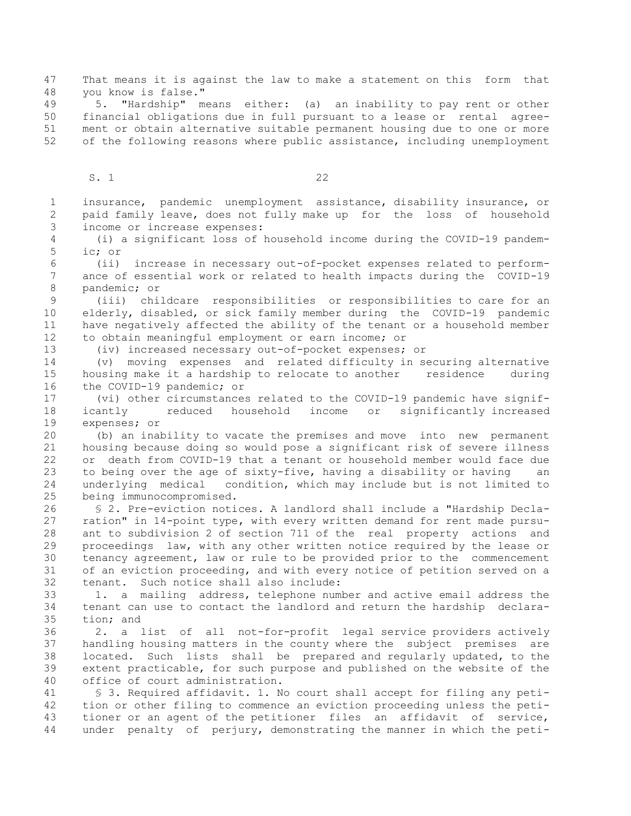47 That means it is against the law to make a statement on this form that 48 you know is false."

49 5. "Hardship" means either: (a) an inability to pay rent or other 50 financial obligations due in full pursuant to a lease or rental agree-51 ment or obtain alternative suitable permanent housing due to one or more 52 of the following reasons where public assistance, including unemployment

S. 1 22

 1 insurance, pandemic unemployment assistance, disability insurance, or 2 paid family leave, does not fully make up for the loss of household 3 income or increase expenses: 4 (i) a significant loss of household income during the COVID-19 pandem- 5 ic; or 6 (ii) increase in necessary out-of-pocket expenses related to perform- 7 ance of essential work or related to health impacts during the COVID-19 8 pandemic; or 9 (iii) childcare responsibilities or responsibilities to care for an 10 elderly, disabled, or sick family member during the COVID-19 pandemic 11 have negatively affected the ability of the tenant or a household member 12 to obtain meaningful employment or earn income; or 13 (iv) increased necessary out-of-pocket expenses; or 14 (v) moving expenses and related difficulty in securing alternative 15 housing make it a hardship to relocate to another residence during 16 the COVID-19 pandemic; or 17 (vi) other circumstances related to the COVID-19 pandemic have signif-18 icantly reduced household income or significantly increased 19 expenses; or 20 (b) an inability to vacate the premises and move into new permanent 21 housing because doing so would pose a significant risk of severe illness 22 or death from COVID-19 that a tenant or household member would face due 23 to being over the age of sixty-five, having a disability or having an 24 underlying medical condition, which may include but is not limited to 25 being immunocompromised. 26 § 2. Pre-eviction notices. A landlord shall include a "Hardship Decla-27 ration" in 14-point type, with every written demand for rent made pursu-28 ant to subdivision 2 of section 711 of the real property actions and 29 proceedings law, with any other written notice required by the lease or 30 tenancy agreement, law or rule to be provided prior to the commencement 31 of an eviction proceeding, and with every notice of petition served on a 32 tenant. Such notice shall also include: 33 1. a mailing address, telephone number and active email address the 34 tenant can use to contact the landlord and return the hardship declara-35 tion; and 36 2. a list of all not-for-profit legal service providers actively 37 handling housing matters in the county where the subject premises are 38 located. Such lists shall be prepared and regularly updated, to the 39 extent practicable, for such purpose and published on the website of the 40 office of court administration. 41 § 3. Required affidavit. 1. No court shall accept for filing any peti-42 tion or other filing to commence an eviction proceeding unless the peti-43 tioner or an agent of the petitioner files an affidavit of service, 44 under penalty of perjury, demonstrating the manner in which the peti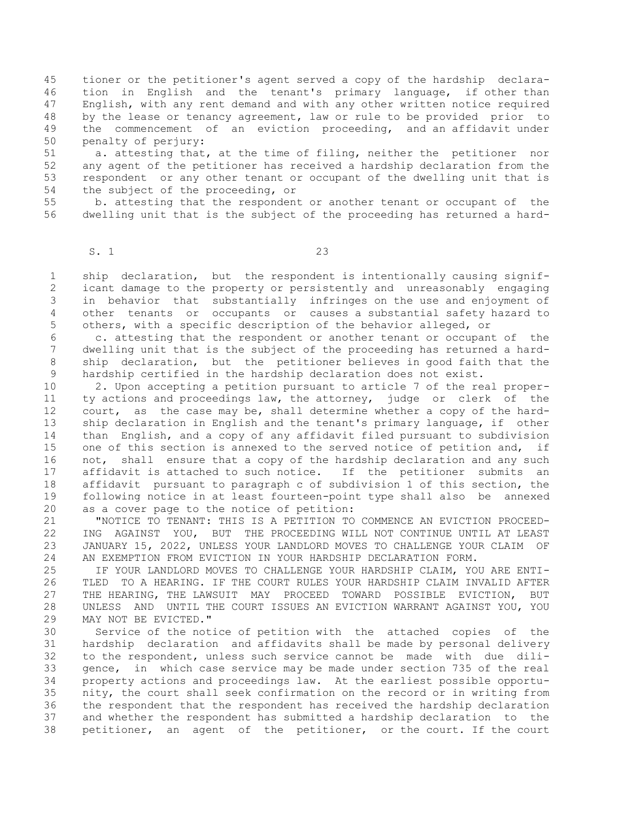45 tioner or the petitioner's agent served a copy of the hardship declara-46 tion in English and the tenant's primary language, if other than 47 English, with any rent demand and with any other written notice required 48 by the lease or tenancy agreement, law or rule to be provided prior to 49 the commencement of an eviction proceeding, and an affidavit under 50 penalty of perjury:

51 a. attesting that, at the time of filing, neither the petitioner nor 52 any agent of the petitioner has received a hardship declaration from the 53 respondent or any other tenant or occupant of the dwelling unit that is 54 the subject of the proceeding, or

55 b. attesting that the respondent or another tenant or occupant of the 56 dwelling unit that is the subject of the proceeding has returned a hard-

S. 1 23

 1 ship declaration, but the respondent is intentionally causing signif- 2 icant damage to the property or persistently and unreasonably engaging 3 in behavior that substantially infringes on the use and enjoyment of 4 other tenants or occupants or causes a substantial safety hazard to 5 others, with a specific description of the behavior alleged, or

 6 c. attesting that the respondent or another tenant or occupant of the 7 dwelling unit that is the subject of the proceeding has returned a hard- 8 ship declaration, but the petitioner believes in good faith that the 9 hardship certified in the hardship declaration does not exist.

10 2. Upon accepting a petition pursuant to article 7 of the real proper-11 ty actions and proceedings law, the attorney, judge or clerk of the 12 court, as the case may be, shall determine whether a copy of the hard-13 ship declaration in English and the tenant's primary language, if other 14 than English, and a copy of any affidavit filed pursuant to subdivision 15 one of this section is annexed to the served notice of petition and, if 16 not, shall ensure that a copy of the hardship declaration and any such 17 affidavit is attached to such notice. If the petitioner submits an 18 affidavit pursuant to paragraph c of subdivision 1 of this section, the 19 following notice in at least fourteen-point type shall also be annexed 20 as a cover page to the notice of petition:

21 "NOTICE TO TENANT: THIS IS A PETITION TO COMMENCE AN EVICTION PROCEED-22 ING AGAINST YOU, BUT THE PROCEEDING WILL NOT CONTINUE UNTIL AT LEAST 23 JANUARY 15, 2022, UNLESS YOUR LANDLORD MOVES TO CHALLENGE YOUR CLAIM OF 24 AN EXEMPTION FROM EVICTION IN YOUR HARDSHIP DECLARATION FORM.

25 IF YOUR LANDLORD MOVES TO CHALLENGE YOUR HARDSHIP CLAIM, YOU ARE ENTI-26 TLED TO A HEARING. IF THE COURT RULES YOUR HARDSHIP CLAIM INVALID AFTER 27 THE HEARING, THE LAWSUIT MAY PROCEED TOWARD POSSIBLE EVICTION, BUT 28 UNLESS AND UNTIL THE COURT ISSUES AN EVICTION WARRANT AGAINST YOU, YOU 29 MAY NOT BE EVICTED."

30 Service of the notice of petition with the attached copies of the 31 hardship declaration and affidavits shall be made by personal delivery 32 to the respondent, unless such service cannot be made with due dili-33 gence, in which case service may be made under section 735 of the real 34 property actions and proceedings law. At the earliest possible opportu-35 nity, the court shall seek confirmation on the record or in writing from 36 the respondent that the respondent has received the hardship declaration 37 and whether the respondent has submitted a hardship declaration to the 38 petitioner, an agent of the petitioner, or the court. If the court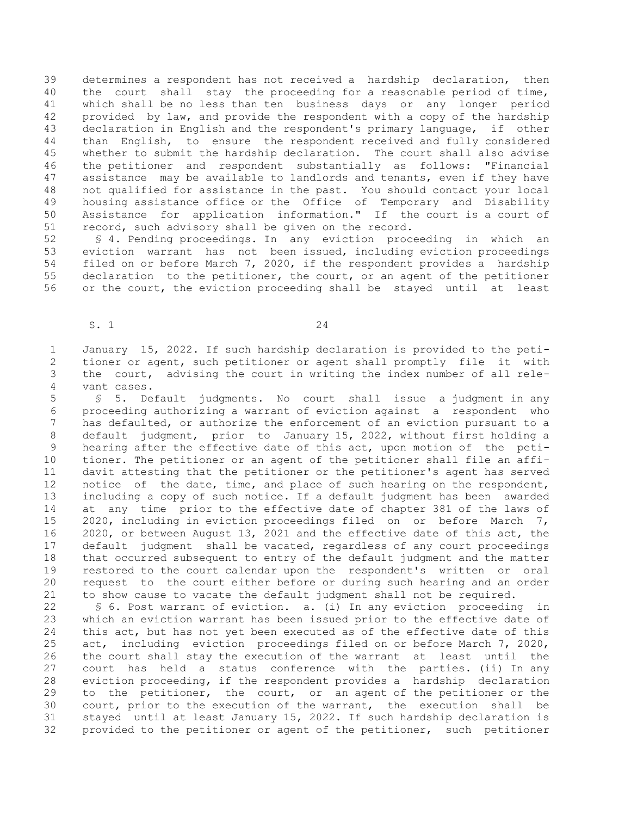39 determines a respondent has not received a hardship declaration, then 40 the court shall stay the proceeding for a reasonable period of time, 41 which shall be no less than ten business days or any longer period 42 provided by law, and provide the respondent with a copy of the hardship 43 declaration in English and the respondent's primary language, if other 44 than English, to ensure the respondent received and fully considered 45 whether to submit the hardship declaration. The court shall also advise 46 the petitioner and respondent substantially as follows: "Financial 47 assistance may be available to landlords and tenants, even if they have 48 not qualified for assistance in the past. You should contact your local 49 housing assistance office or the Office of Temporary and Disability 50 Assistance for application information." If the court is a court of 51 record, such advisory shall be given on the record.

52 § 4. Pending proceedings. In any eviction proceeding in which an 53 eviction warrant has not been issued, including eviction proceedings 54 filed on or before March 7, 2020, if the respondent provides a hardship 55 declaration to the petitioner, the court, or an agent of the petitioner 56 or the court, the eviction proceeding shall be stayed until at least

S. 1 24

 1 January 15, 2022. If such hardship declaration is provided to the peti- 2 tioner or agent, such petitioner or agent shall promptly file it with 3 the court, advising the court in writing the index number of all rele- 4 vant cases.

 5 § 5. Default judgments. No court shall issue a judgment in any 6 proceeding authorizing a warrant of eviction against a respondent who 7 has defaulted, or authorize the enforcement of an eviction pursuant to a 8 default judgment, prior to January 15, 2022, without first holding a 9 hearing after the effective date of this act, upon motion of the peti-10 tioner. The petitioner or an agent of the petitioner shall file an affi-11 davit attesting that the petitioner or the petitioner's agent has served 12 notice of the date, time, and place of such hearing on the respondent, 13 including a copy of such notice. If a default judgment has been awarded 14 at any time prior to the effective date of chapter 381 of the laws of 15 2020, including in eviction proceedings filed on or before March 7, 16 2020, or between August 13, 2021 and the effective date of this act, the 17 default judgment shall be vacated, regardless of any court proceedings 18 that occurred subsequent to entry of the default judgment and the matter 19 restored to the court calendar upon the respondent's written or oral 20 request to the court either before or during such hearing and an order 21 to show cause to vacate the default judgment shall not be required.

22 § 6. Post warrant of eviction. a. (i) In any eviction proceeding in 23 which an eviction warrant has been issued prior to the effective date of 24 this act, but has not yet been executed as of the effective date of this 25 act, including eviction proceedings filed on or before March 7, 2020, 26 the court shall stay the execution of the warrant at least until the 27 court has held a status conference with the parties. (ii) In any 28 eviction proceeding, if the respondent provides a hardship declaration 29 to the petitioner, the court, or an agent of the petitioner or the 30 court, prior to the execution of the warrant, the execution shall be 31 stayed until at least January 15, 2022. If such hardship declaration is 32 provided to the petitioner or agent of the petitioner, such petitioner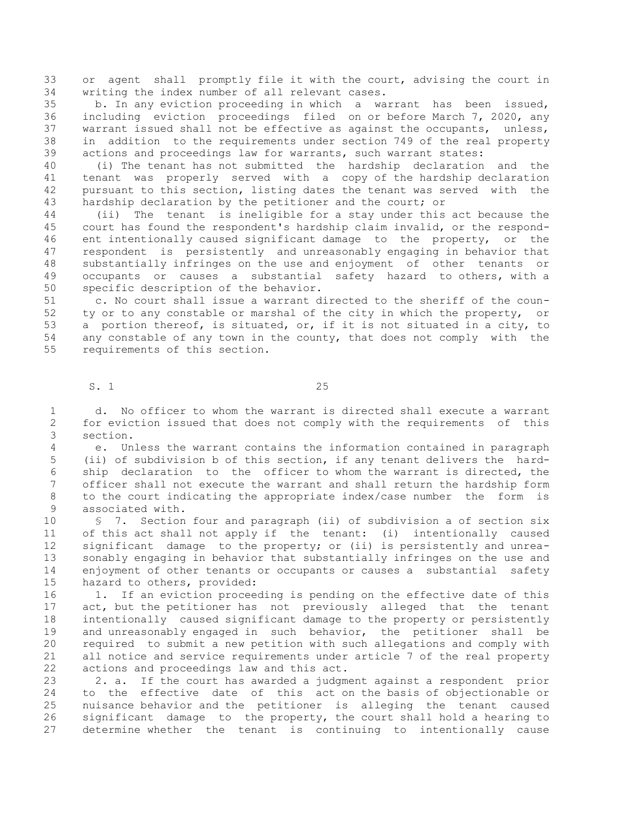33 or agent shall promptly file it with the court, advising the court in 34 writing the index number of all relevant cases.

35 b. In any eviction proceeding in which a warrant has been issued, 36 including eviction proceedings filed on or before March 7, 2020, any 37 warrant issued shall not be effective as against the occupants, unless, 38 in addition to the requirements under section 749 of the real property 39 actions and proceedings law for warrants, such warrant states:

40 (i) The tenant has not submitted the hardship declaration and the 41 tenant was properly served with a copy of the hardship declaration 42 pursuant to this section, listing dates the tenant was served with the 43 hardship declaration by the petitioner and the court; or

44 (ii) The tenant is ineligible for a stay under this act because the 45 court has found the respondent's hardship claim invalid, or the respond-46 ent intentionally caused significant damage to the property, or the 47 respondent is persistently and unreasonably engaging in behavior that 48 substantially infringes on the use and enjoyment of other tenants or 49 occupants or causes a substantial safety hazard to others, with a 50 specific description of the behavior.

51 c. No court shall issue a warrant directed to the sheriff of the coun-52 ty or to any constable or marshal of the city in which the property, or 53 a portion thereof, is situated, or, if it is not situated in a city, to 54 any constable of any town in the county, that does not comply with the 55 requirements of this section.

S. 1 25

 1 d. No officer to whom the warrant is directed shall execute a warrant 2 for eviction issued that does not comply with the requirements of this 3 section.

 4 e. Unless the warrant contains the information contained in paragraph 5 (ii) of subdivision b of this section, if any tenant delivers the hard- 6 ship declaration to the officer to whom the warrant is directed, the 7 officer shall not execute the warrant and shall return the hardship form 8 to the court indicating the appropriate index/case number the form is 9 associated with.

10 § 7. Section four and paragraph (ii) of subdivision a of section six 11 of this act shall not apply if the tenant: (i) intentionally caused 12 significant damage to the property; or (ii) is persistently and unrea-13 sonably engaging in behavior that substantially infringes on the use and 14 enjoyment of other tenants or occupants or causes a substantial safety 15 hazard to others, provided:

16 1. If an eviction proceeding is pending on the effective date of this 17 act, but the petitioner has not previously alleged that the tenant 18 intentionally caused significant damage to the property or persistently 19 and unreasonably engaged in such behavior, the petitioner shall be 20 required to submit a new petition with such allegations and comply with 21 all notice and service requirements under article 7 of the real property 22 actions and proceedings law and this act.

23 2. a. If the court has awarded a judgment against a respondent prior 24 to the effective date of this act on the basis of objectionable or 25 nuisance behavior and the petitioner is alleging the tenant caused 26 significant damage to the property, the court shall hold a hearing to 27 determine whether the tenant is continuing to intentionally cause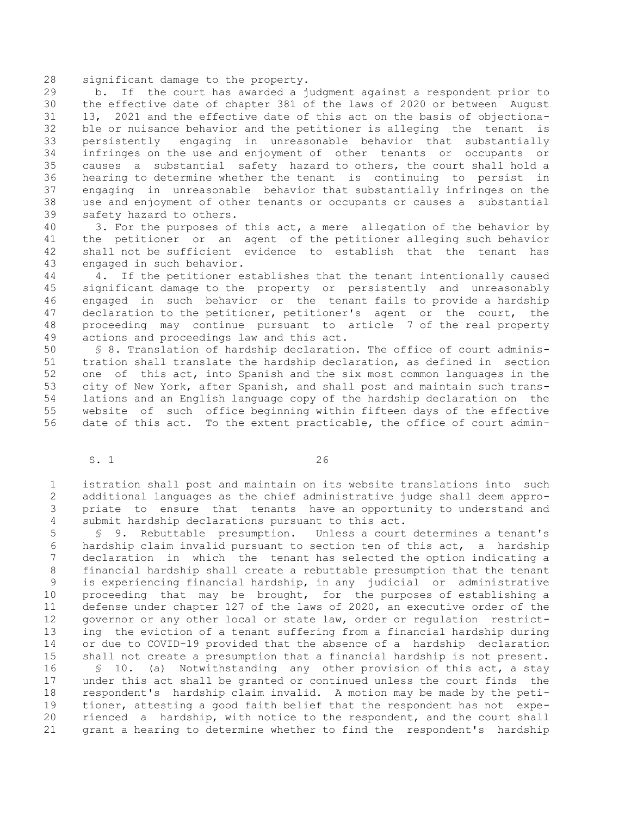28 significant damage to the property.

29 b. If the court has awarded a judgment against a respondent prior to 30 the effective date of chapter 381 of the laws of 2020 or between August 31 13, 2021 and the effective date of this act on the basis of objectiona-32 ble or nuisance behavior and the petitioner is alleging the tenant is 33 persistently engaging in unreasonable behavior that substantially 34 infringes on the use and enjoyment of other tenants or occupants or 35 causes a substantial safety hazard to others, the court shall hold a 36 hearing to determine whether the tenant is continuing to persist in 37 engaging in unreasonable behavior that substantially infringes on the 38 use and enjoyment of other tenants or occupants or causes a substantial 39 safety hazard to others.

40 3. For the purposes of this act, a mere allegation of the behavior by 41 the petitioner or an agent of the petitioner alleging such behavior 42 shall not be sufficient evidence to establish that the tenant has 43 engaged in such behavior.

44 4. If the petitioner establishes that the tenant intentionally caused 45 significant damage to the property or persistently and unreasonably 46 engaged in such behavior or the tenant fails to provide a hardship 47 declaration to the petitioner, petitioner's agent or the court, the 48 proceeding may continue pursuant to article 7 of the real property 49 actions and proceedings law and this act.

50 § 8. Translation of hardship declaration. The office of court adminis-51 tration shall translate the hardship declaration, as defined in section 52 one of this act, into Spanish and the six most common languages in the 53 city of New York, after Spanish, and shall post and maintain such trans-54 lations and an English language copy of the hardship declaration on the 55 website of such office beginning within fifteen days of the effective 56 date of this act. To the extent practicable, the office of court admin-

S. 1 26

 1 istration shall post and maintain on its website translations into such 2 additional languages as the chief administrative judge shall deem appro- 3 priate to ensure that tenants have an opportunity to understand and 4 submit hardship declarations pursuant to this act.

 5 § 9. Rebuttable presumption. Unless a court determines a tenant's 6 hardship claim invalid pursuant to section ten of this act, a hardship 7 declaration in which the tenant has selected the option indicating a 8 financial hardship shall create a rebuttable presumption that the tenant 9 is experiencing financial hardship, in any judicial or administrative 10 proceeding that may be brought, for the purposes of establishing a 11 defense under chapter 127 of the laws of 2020, an executive order of the 12 governor or any other local or state law, order or regulation restrict-13 ing the eviction of a tenant suffering from a financial hardship during 14 or due to COVID-19 provided that the absence of a hardship declaration 15 shall not create a presumption that a financial hardship is not present.

16 § 10. (a) Notwithstanding any other provision of this act, a stay 17 under this act shall be granted or continued unless the court finds the 18 respondent's hardship claim invalid. A motion may be made by the peti-19 tioner, attesting a good faith belief that the respondent has not expe-20 rienced a hardship, with notice to the respondent, and the court shall 21 grant a hearing to determine whether to find the respondent's hardship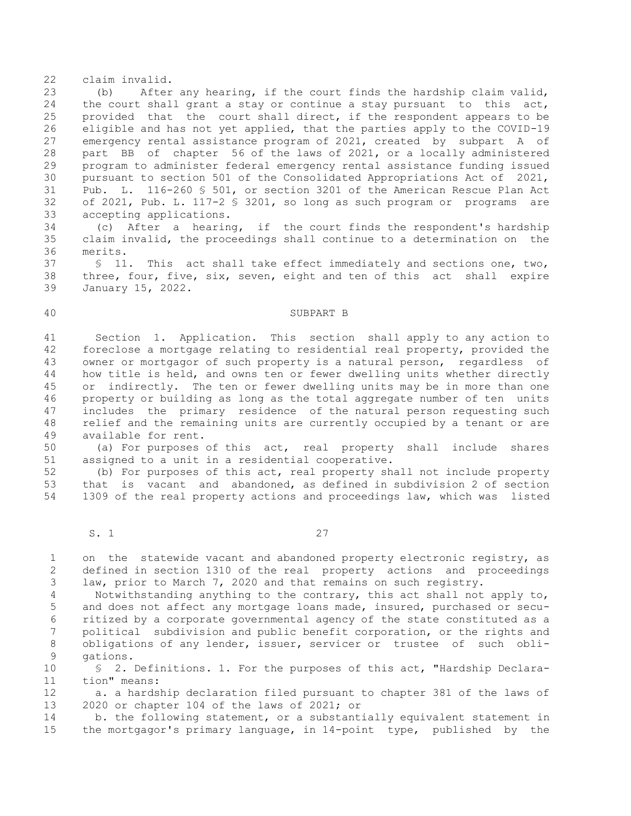22 claim invalid.

23 (b) After any hearing, if the court finds the hardship claim valid, 24 the court shall grant a stay or continue a stay pursuant to this act, 25 provided that the court shall direct, if the respondent appears to be 26 eligible and has not yet applied, that the parties apply to the COVID-19 27 emergency rental assistance program of 2021, created by subpart A of 28 part BB of chapter 56 of the laws of 2021, or a locally administered 29 program to administer federal emergency rental assistance funding issued 30 pursuant to section 501 of the Consolidated Appropriations Act of 2021, 31 Pub. L. 116-260 § 501, or section 3201 of the American Rescue Plan Act 32 of 2021, Pub. L. 117-2 § 3201, so long as such program or programs are 33 accepting applications.

34 (c) After a hearing, if the court finds the respondent's hardship 35 claim invalid, the proceedings shall continue to a determination on the 36 merits.

37 § 11. This act shall take effect immediately and sections one, two, 38 three, four, five, six, seven, eight and ten of this act shall expire 39 January 15, 2022.

#### 40 SUBPART B

41 Section 1. Application. This section shall apply to any action to 42 foreclose a mortgage relating to residential real property, provided the 43 owner or mortgagor of such property is a natural person, regardless of 44 how title is held, and owns ten or fewer dwelling units whether directly 45 or indirectly. The ten or fewer dwelling units may be in more than one 46 property or building as long as the total aggregate number of ten units 47 includes the primary residence of the natural person requesting such 48 relief and the remaining units are currently occupied by a tenant or are 49 available for rent.

50 (a) For purposes of this act, real property shall include shares 51 assigned to a unit in a residential cooperative.

52 (b) For purposes of this act, real property shall not include property 53 that is vacant and abandoned, as defined in subdivision 2 of section 54 1309 of the real property actions and proceedings law, which was listed

S. 1 27

 1 on the statewide vacant and abandoned property electronic registry, as 2 defined in section 1310 of the real property actions and proceedings 3 law, prior to March 7, 2020 and that remains on such registry.

 4 Notwithstanding anything to the contrary, this act shall not apply to, 5 and does not affect any mortgage loans made, insured, purchased or secu- 6 ritized by a corporate governmental agency of the state constituted as a 7 political subdivision and public benefit corporation, or the rights and 8 obligations of any lender, issuer, servicer or trustee of such obli- 9 gations.

10 § 2. Definitions. 1. For the purposes of this act, "Hardship Declara-11 tion" means:

12 a. a hardship declaration filed pursuant to chapter 381 of the laws of 13 2020 or chapter 104 of the laws of 2021; or

14 b. the following statement, or a substantially equivalent statement in 15 the mortgagor's primary language, in 14-point type, published by the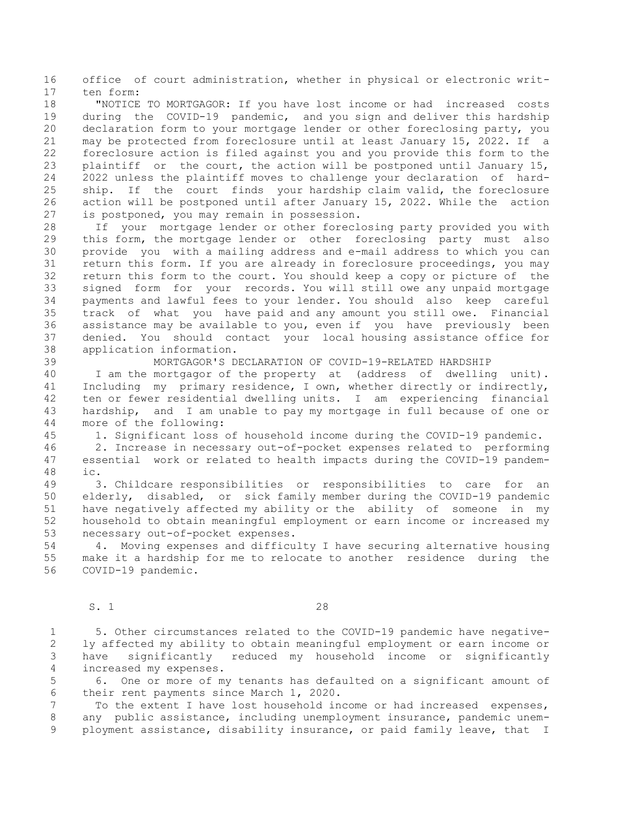16 office of court administration, whether in physical or electronic writ-17 ten form:

18 "NOTICE TO MORTGAGOR: If you have lost income or had increased costs 19 during the COVID-19 pandemic, and you sign and deliver this hardship 20 declaration form to your mortgage lender or other foreclosing party, you 21 may be protected from foreclosure until at least January 15, 2022. If a 22 foreclosure action is filed against you and you provide this form to the 23 plaintiff or the court, the action will be postponed until January 15, 24 2022 unless the plaintiff moves to challenge your declaration of hard-25 ship. If the court finds your hardship claim valid, the foreclosure 26 action will be postponed until after January 15, 2022. While the action 27 is postponed, you may remain in possession.

28 If your mortgage lender or other foreclosing party provided you with 29 this form, the mortgage lender or other foreclosing party must also 30 provide you with a mailing address and e-mail address to which you can 31 return this form. If you are already in foreclosure proceedings, you may 32 return this form to the court. You should keep a copy or picture of the 33 signed form for your records. You will still owe any unpaid mortgage 34 payments and lawful fees to your lender. You should also keep careful 35 track of what you have paid and any amount you still owe. Financial 36 assistance may be available to you, even if you have previously been 37 denied. You should contact your local housing assistance office for 38 application information.

39 MORTGAGOR'S DECLARATION OF COVID-19-RELATED HARDSHIP 40 I am the mortgagor of the property at (address of dwelling unit). 41 Including my primary residence, I own, whether directly or indirectly, 42 ten or fewer residential dwelling units. I am experiencing financial 43 hardship, and I am unable to pay my mortgage in full because of one or 44 more of the following:

45 1. Significant loss of household income during the COVID-19 pandemic.

46 2. Increase in necessary out-of-pocket expenses related to performing 47 essential work or related to health impacts during the COVID-19 pandem-48 ic.

49 3. Childcare responsibilities or responsibilities to care for an 50 elderly, disabled, or sick family member during the COVID-19 pandemic 51 have negatively affected my ability or the ability of someone in my 52 household to obtain meaningful employment or earn income or increased my 53 necessary out-of-pocket expenses.

54 4. Moving expenses and difficulty I have securing alternative housing 55 make it a hardship for me to relocate to another residence during the 56 COVID-19 pandemic.

### S. 1 28

 1 5. Other circumstances related to the COVID-19 pandemic have negative- 2 ly affected my ability to obtain meaningful employment or earn income or 3 have significantly reduced my household income or significantly 4 increased my expenses.

 5 6. One or more of my tenants has defaulted on a significant amount of 6 their rent payments since March 1, 2020.

 7 To the extent I have lost household income or had increased expenses, 8 any public assistance, including unemployment insurance, pandemic unem- 9 ployment assistance, disability insurance, or paid family leave, that I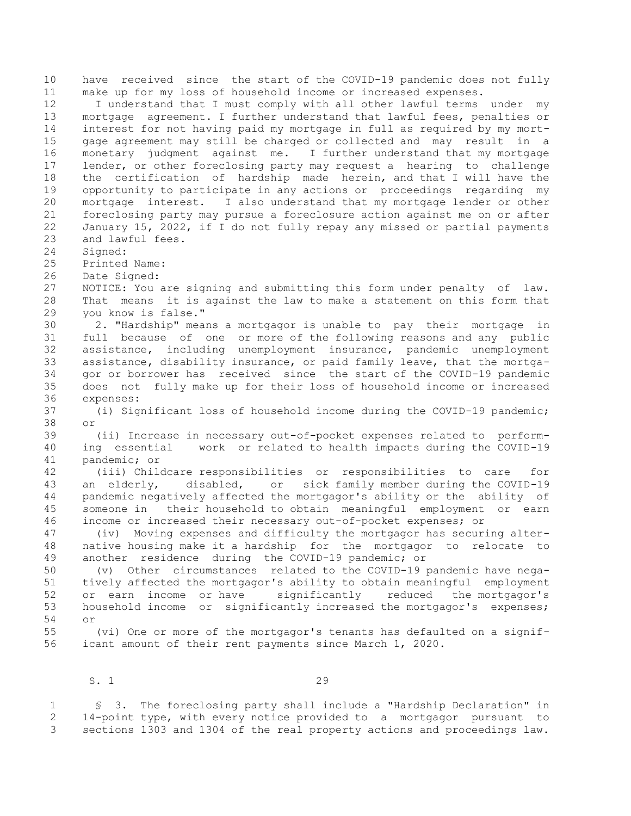10 have received since the start of the COVID-19 pandemic does not fully 11 make up for my loss of household income or increased expenses. 12 I understand that I must comply with all other lawful terms under my 13 mortgage agreement. I further understand that lawful fees, penalties or 14 interest for not having paid my mortgage in full as required by my mort-15 gage agreement may still be charged or collected and may result in a 16 monetary judgment against me. I further understand that my mortgage 17 lender, or other foreclosing party may request a hearing to challenge 18 the certification of hardship made herein, and that I will have the 19 opportunity to participate in any actions or proceedings regarding my 20 mortgage interest. I also understand that my mortgage lender or other 21 foreclosing party may pursue a foreclosure action against me on or after 22 January 15, 2022, if I do not fully repay any missed or partial payments 23 and lawful fees. 24 Signed: 25 Printed Name:<br>26 Date Signed: Date Signed: 27 NOTICE: You are signing and submitting this form under penalty of law. 28 That means it is against the law to make a statement on this form that 29 you know is false." 30 2. "Hardship" means a mortgagor is unable to pay their mortgage in 31 full because of one or more of the following reasons and any public 32 assistance, including unemployment insurance, pandemic unemployment 33 assistance, disability insurance, or paid family leave, that the mortga-34 gor or borrower has received since the start of the COVID-19 pandemic 35 does not fully make up for their loss of household income or increased 36 expenses: 37 (i) Significant loss of household income during the COVID-19 pandemic; 38 or 39 (ii) Increase in necessary out-of-pocket expenses related to perform-40 ing essential work or related to health impacts during the COVID-19 41 pandemic; or 42 (iii) Childcare responsibilities or responsibilities to care for 43 an elderly, disabled, or sick family member during the COVID-19 44 pandemic negatively affected the mortgagor's ability or the ability of 45 someone in their household to obtain meaningful employment or earn 46 income or increased their necessary out-of-pocket expenses; or 47 (iv) Moving expenses and difficulty the mortgagor has securing alter-48 native housing make it a hardship for the mortgagor to relocate to 49 another residence during the COVID-19 pandemic; or 50 (v) Other circumstances related to the COVID-19 pandemic have nega-51 tively affected the mortgagor's ability to obtain meaningful employment 52 or earn income or have significantly reduced the mortgagor's 53 household income or significantly increased the mortgagor's expenses; 54 or 55 (vi) One or more of the mortgagor's tenants has defaulted on a signif-56 icant amount of their rent payments since March 1, 2020.

S. 1 29

 1 § 3. The foreclosing party shall include a "Hardship Declaration" in 2 14-point type, with every notice provided to a mortgagor pursuant to 3 sections 1303 and 1304 of the real property actions and proceedings law.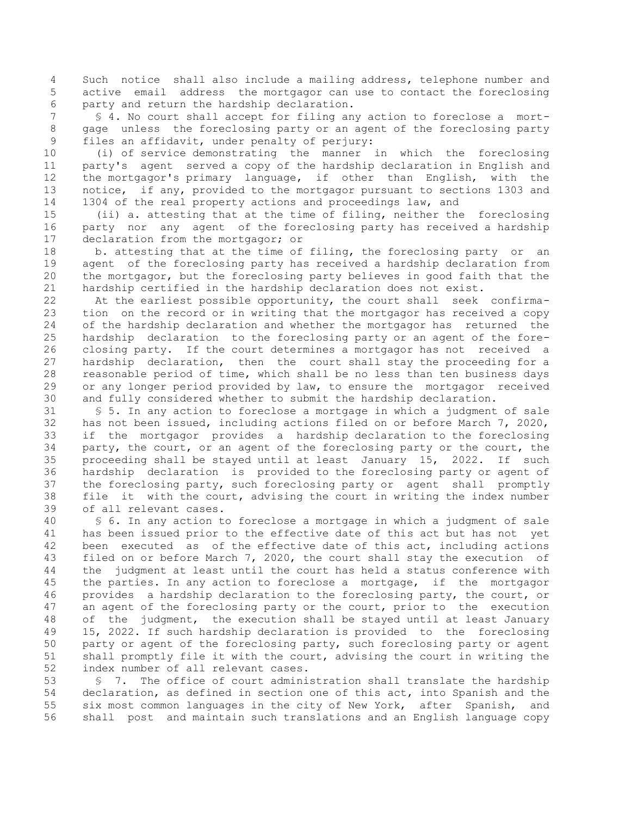4 Such notice shall also include a mailing address, telephone number and 5 active email address the mortgagor can use to contact the foreclosing 6 party and return the hardship declaration.

 7 § 4. No court shall accept for filing any action to foreclose a mort- 8 gage unless the foreclosing party or an agent of the foreclosing party 9 files an affidavit, under penalty of perjury:

10 (i) of service demonstrating the manner in which the foreclosing 11 party's agent served a copy of the hardship declaration in English and 12 the mortgagor's primary language, if other than English, with the 13 notice, if any, provided to the mortgagor pursuant to sections 1303 and 14 1304 of the real property actions and proceedings law, and

15 (ii) a. attesting that at the time of filing, neither the foreclosing 16 party nor any agent of the foreclosing party has received a hardship 17 declaration from the mortgagor; or

18 b. attesting that at the time of filing, the foreclosing party or an 19 agent of the foreclosing party has received a hardship declaration from 20 the mortgagor, but the foreclosing party believes in good faith that the 21 hardship certified in the hardship declaration does not exist.

22 At the earliest possible opportunity, the court shall seek confirma-23 tion on the record or in writing that the mortgagor has received a copy 24 of the hardship declaration and whether the mortgagor has returned the 25 hardship declaration to the foreclosing party or an agent of the fore-26 closing party. If the court determines a mortgagor has not received a 27 hardship declaration, then the court shall stay the proceeding for a 28 reasonable period of time, which shall be no less than ten business days 29 or any longer period provided by law, to ensure the mortgagor received 30 and fully considered whether to submit the hardship declaration.

31 § 5. In any action to foreclose a mortgage in which a judgment of sale 32 has not been issued, including actions filed on or before March 7, 2020, 33 if the mortgagor provides a hardship declaration to the foreclosing 34 party, the court, or an agent of the foreclosing party or the court, the 35 proceeding shall be stayed until at least January 15, 2022. If such<br>36 hardship declaration is provided to the foreclosing party or agent of hardship declaration is provided to the foreclosing party or agent of 37 the foreclosing party, such foreclosing party or agent shall promptly 38 file it with the court, advising the court in writing the index number 39 of all relevant cases.

40 § 6. In any action to foreclose a mortgage in which a judgment of sale 41 has been issued prior to the effective date of this act but has not yet 42 been executed as of the effective date of this act, including actions 43 filed on or before March 7, 2020, the court shall stay the execution of 44 the judgment at least until the court has held a status conference with 45 the parties. In any action to foreclose a mortgage, if the mortgagor 46 provides a hardship declaration to the foreclosing party, the court, or 47 an agent of the foreclosing party or the court, prior to the execution 48 of the judgment, the execution shall be stayed until at least January 49 15, 2022. If such hardship declaration is provided to the foreclosing 50 party or agent of the foreclosing party, such foreclosing party or agent 51 shall promptly file it with the court, advising the court in writing the 52 index number of all relevant cases.

53 § 7. The office of court administration shall translate the hardship 54 declaration, as defined in section one of this act, into Spanish and the 55 six most common languages in the city of New York, after Spanish, and 56 shall post and maintain such translations and an English language copy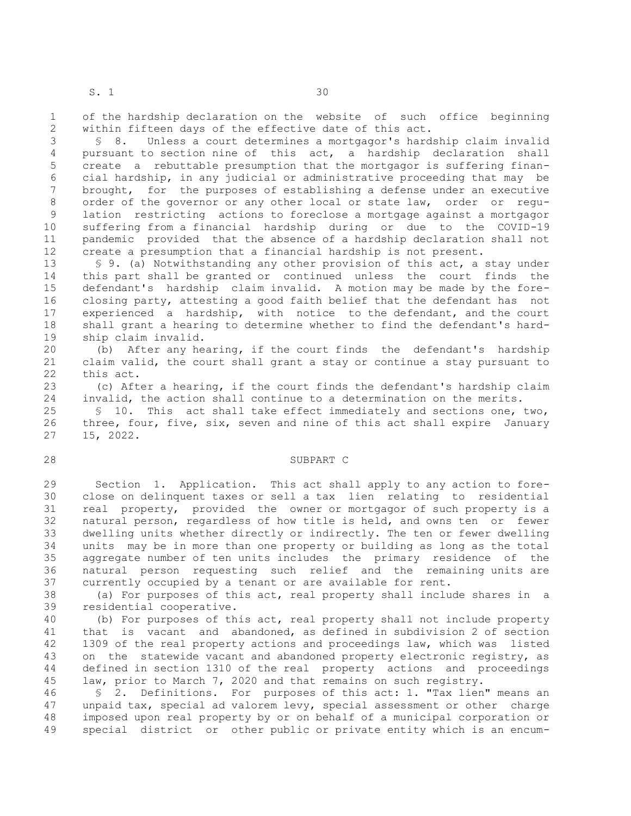1 of the hardship declaration on the website of such office beginning 2 within fifteen days of the effective date of this act.

 3 § 8. Unless a court determines a mortgagor's hardship claim invalid 4 pursuant to section nine of this act, a hardship declaration shall 5 create a rebuttable presumption that the mortgagor is suffering finan- 6 cial hardship, in any judicial or administrative proceeding that may be 7 brought, for the purposes of establishing a defense under an executive 8 order of the governor or any other local or state law, order or regu- 9 lation restricting actions to foreclose a mortgage against a mortgagor 10 suffering from a financial hardship during or due to the COVID-19 11 pandemic provided that the absence of a hardship declaration shall not 12 create a presumption that a financial hardship is not present.

13 § 9. (a) Notwithstanding any other provision of this act, a stay under 14 this part shall be granted or continued unless the court finds the 15 defendant's hardship claim invalid. A motion may be made by the fore-16 closing party, attesting a good faith belief that the defendant has not 17 experienced a hardship, with notice to the defendant, and the court 18 shall grant a hearing to determine whether to find the defendant's hard-19 ship claim invalid.

20 (b) After any hearing, if the court finds the defendant's hardship 21 claim valid, the court shall grant a stay or continue a stay pursuant to 22 this act.

23 (c) After a hearing, if the court finds the defendant's hardship claim 24 invalid, the action shall continue to a determination on the merits.

25 § 10. This act shall take effect immediately and sections one, two, 26 three, four, five, six, seven and nine of this act shall expire January 27 15, 2022.

#### 28 SUBPART C

29 Section 1. Application. This act shall apply to any action to fore-30 close on delinquent taxes or sell a tax lien relating to residential 31 real property, provided the owner or mortgagor of such property is a 32 natural person, regardless of how title is held, and owns ten or fewer 33 dwelling units whether directly or indirectly. The ten or fewer dwelling 34 units may be in more than one property or building as long as the total 35 aggregate number of ten units includes the primary residence of the 36 natural person requesting such relief and the remaining units are 37 currently occupied by a tenant or are available for rent.

38 (a) For purposes of this act, real property shall include shares in a 39 residential cooperative.

40 (b) For purposes of this act, real property shall not include property 41 that is vacant and abandoned, as defined in subdivision 2 of section 42 1309 of the real property actions and proceedings law, which was listed 43 on the statewide vacant and abandoned property electronic registry, as 44 defined in section 1310 of the real property actions and proceedings 45 law, prior to March 7, 2020 and that remains on such registry.

46 § 2. Definitions. For purposes of this act: 1. "Tax lien" means an 47 unpaid tax, special ad valorem levy, special assessment or other charge 48 imposed upon real property by or on behalf of a municipal corporation or 49 special district or other public or private entity which is an encum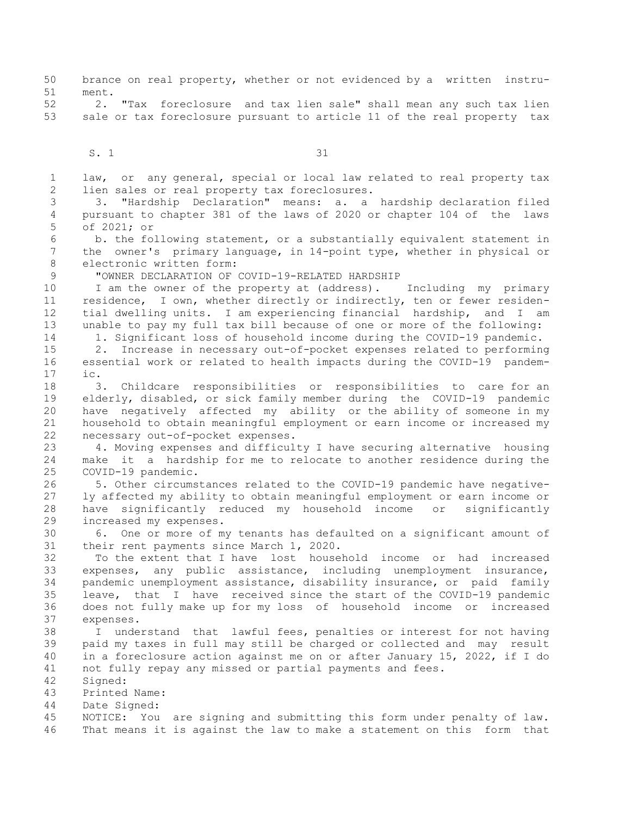50 brance on real property, whether or not evidenced by a written instru-51 ment.

52 2. "Tax foreclosure and tax lien sale" shall mean any such tax lien 53 sale or tax foreclosure pursuant to article 11 of the real property tax

S. 1 31

 1 law, or any general, special or local law related to real property tax 2 lien sales or real property tax foreclosures.

 3 3. "Hardship Declaration" means: a. a hardship declaration filed 4 pursuant to chapter 381 of the laws of 2020 or chapter 104 of the laws 5 of 2021; or

 6 b. the following statement, or a substantially equivalent statement in 7 the owner's primary language, in 14-point type, whether in physical or 8 electronic written form:

9 "OWNER DECLARATION OF COVID-19-RELATED HARDSHIP

10 I am the owner of the property at (address). Including my primary 11 residence, I own, whether directly or indirectly, ten or fewer residen-12 tial dwelling units. I am experiencing financial hardship, and I am 13 unable to pay my full tax bill because of one or more of the following: 14 1. Significant loss of household income during the COVID-19 pandemic.

15 2. Increase in necessary out-of-pocket expenses related to performing 16 essential work or related to health impacts during the COVID-19 pandem-17 ic.

18 3. Childcare responsibilities or responsibilities to care for an 19 elderly, disabled, or sick family member during the COVID-19 pandemic 20 have negatively affected my ability or the ability of someone in my 21 household to obtain meaningful employment or earn income or increased my 22 necessary out-of-pocket expenses.

23 4. Moving expenses and difficulty I have securing alternative housing 24 make it a hardship for me to relocate to another residence during the 25 COVID-19 pandemic.

26 5. Other circumstances related to the COVID-19 pandemic have negative-27 ly affected my ability to obtain meaningful employment or earn income or 28 have significantly reduced my household income or significantly 29 increased my expenses.

30 6. One or more of my tenants has defaulted on a significant amount of 31 their rent payments since March 1, 2020.

32 To the extent that I have lost household income or had increased 33 expenses, any public assistance, including unemployment insurance, 34 pandemic unemployment assistance, disability insurance, or paid family 35 leave, that I have received since the start of the COVID-19 pandemic 36 does not fully make up for my loss of household income or increased 37 expenses.

38 I understand that lawful fees, penalties or interest for not having 39 paid my taxes in full may still be charged or collected and may result 40 in a foreclosure action against me on or after January 15, 2022, if I do 41 not fully repay any missed or partial payments and fees.

42 Signed:

43 Printed Name:

44 Date Signed:

45 NOTICE: You are signing and submitting this form under penalty of law. 46 That means it is against the law to make a statement on this form that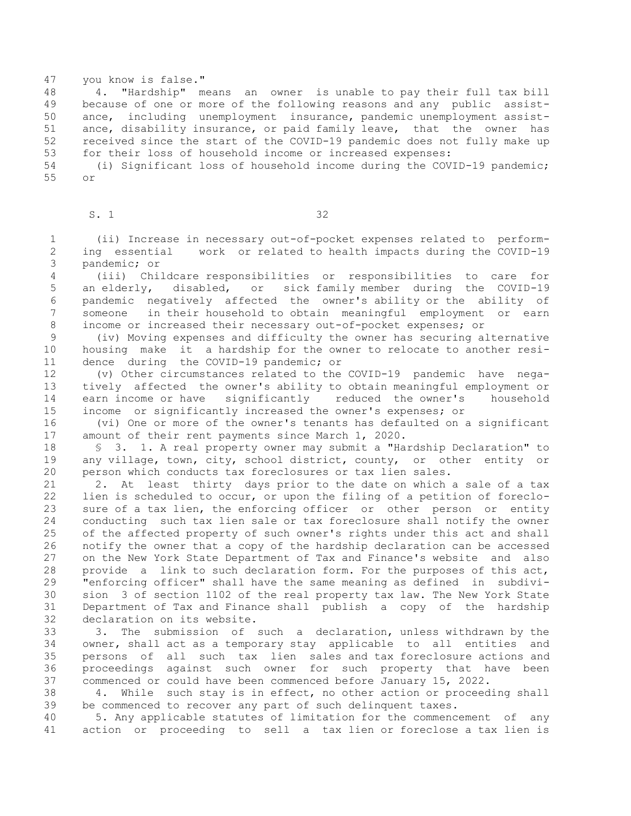# 47 you know is false."

48 4. "Hardship" means an owner is unable to pay their full tax bill 49 because of one or more of the following reasons and any public assist-50 ance, including unemployment insurance, pandemic unemployment assist-51 ance, disability insurance, or paid family leave, that the owner has 52 received since the start of the COVID-19 pandemic does not fully make up 53 for their loss of household income or increased expenses:

54 (i) Significant loss of household income during the COVID-19 pandemic; 55 or

### S. 1 32

 1 (ii) Increase in necessary out-of-pocket expenses related to perform- 2 ing essential work or related to health impacts during the COVID-19 3 pandemic; or

 4 (iii) Childcare responsibilities or responsibilities to care for 5 an elderly, disabled, or sick family member during the COVID-19 6 pandemic negatively affected the owner's ability or the ability of 7 someone in their household to obtain meaningful employment or earn 8 income or increased their necessary out-of-pocket expenses; or

 9 (iv) Moving expenses and difficulty the owner has securing alternative 10 housing make it a hardship for the owner to relocate to another resi-11 dence during the COVID-19 pandemic; or

12 (v) Other circumstances related to the COVID-19 pandemic have nega-13 tively affected the owner's ability to obtain meaningful employment or 14 earn income or have significantly reduced the owner's household 15 income or significantly increased the owner's expenses; or

16 (vi) One or more of the owner's tenants has defaulted on a significant 17 amount of their rent payments since March 1, 2020.

18 § 3. 1. A real property owner may submit a "Hardship Declaration" to 19 any village, town, city, school district, county, or other entity or 20 person which conducts tax foreclosures or tax lien sales.

21 2. At least thirty days prior to the date on which a sale of a tax 22 lien is scheduled to occur, or upon the filing of a petition of foreclo-23 sure of a tax lien, the enforcing officer or other person or entity 24 conducting such tax lien sale or tax foreclosure shall notify the owner 25 of the affected property of such owner's rights under this act and shall 26 notify the owner that a copy of the hardship declaration can be accessed 27 on the New York State Department of Tax and Finance's website and also 28 provide a link to such declaration form. For the purposes of this act, 29 "enforcing officer" shall have the same meaning as defined in subdivi-30 sion 3 of section 1102 of the real property tax law. The New York State 31 Department of Tax and Finance shall publish a copy of the hardship 32 declaration on its website.

33 3. The submission of such a declaration, unless withdrawn by the 34 owner, shall act as a temporary stay applicable to all entities and 35 persons of all such tax lien sales and tax foreclosure actions and 36 proceedings against such owner for such property that have been 37 commenced or could have been commenced before January 15, 2022.

38 4. While such stay is in effect, no other action or proceeding shall 39 be commenced to recover any part of such delinquent taxes.

40 5. Any applicable statutes of limitation for the commencement of any 41 action or proceeding to sell a tax lien or foreclose a tax lien is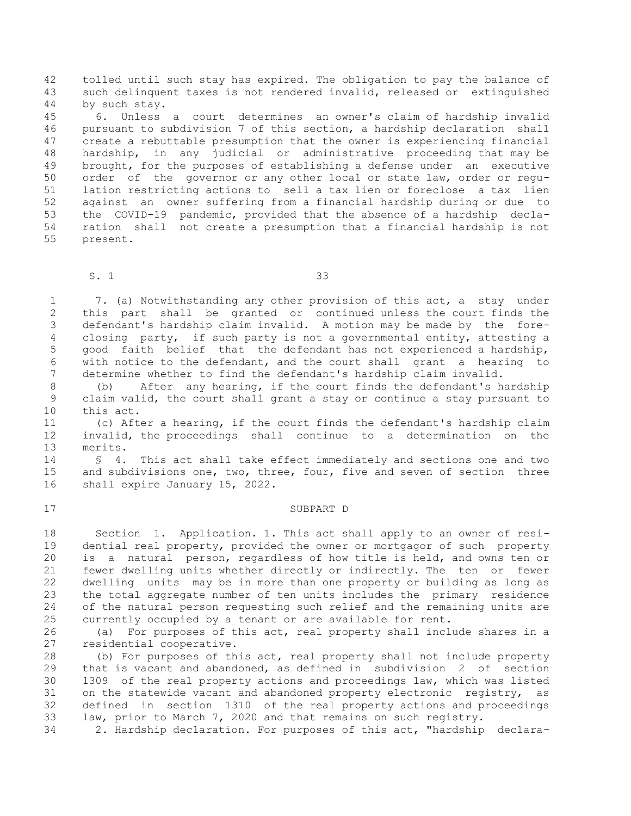42 tolled until such stay has expired. The obligation to pay the balance of 43 such delinquent taxes is not rendered invalid, released or extinguished 44 by such stay.

45 6. Unless a court determines an owner's claim of hardship invalid 46 pursuant to subdivision 7 of this section, a hardship declaration shall 47 create a rebuttable presumption that the owner is experiencing financial 48 hardship, in any judicial or administrative proceeding that may be 49 brought, for the purposes of establishing a defense under an executive 50 order of the governor or any other local or state law, order or regu-51 lation restricting actions to sell a tax lien or foreclose a tax lien 52 against an owner suffering from a financial hardship during or due to 53 the COVID-19 pandemic, provided that the absence of a hardship decla-54 ration shall not create a presumption that a financial hardship is not 55 present.

S. 1 33

 1 7. (a) Notwithstanding any other provision of this act, a stay under 2 this part shall be granted or continued unless the court finds the 3 defendant's hardship claim invalid. A motion may be made by the fore- 4 closing party, if such party is not a governmental entity, attesting a 5 good faith belief that the defendant has not experienced a hardship, 6 with notice to the defendant, and the court shall grant a hearing to 7 determine whether to find the defendant's hardship claim invalid.

 8 (b) After any hearing, if the court finds the defendant's hardship 9 claim valid, the court shall grant a stay or continue a stay pursuant to 10 this act.

11 (c) After a hearing, if the court finds the defendant's hardship claim 12 invalid, the proceedings shall continue to a determination on the 13 merits.

14 § 4. This act shall take effect immediately and sections one and two 15 and subdivisions one, two, three, four, five and seven of section three 16 shall expire January 15, 2022.

#### 17 SUBPART D

18 Section 1. Application. 1. This act shall apply to an owner of resi-19 dential real property, provided the owner or mortgagor of such property 20 is a natural person, regardless of how title is held, and owns ten or 21 fewer dwelling units whether directly or indirectly. The ten or fewer 22 dwelling units may be in more than one property or building as long as 23 the total aggregate number of ten units includes the primary residence 24 of the natural person requesting such relief and the remaining units are 25 currently occupied by a tenant or are available for rent.

26 (a) For purposes of this act, real property shall include shares in a 27 residential cooperative.

28 (b) For purposes of this act, real property shall not include property 29 that is vacant and abandoned, as defined in subdivision 2 of section 30 1309 of the real property actions and proceedings law, which was listed 31 on the statewide vacant and abandoned property electronic registry, as 32 defined in section 1310 of the real property actions and proceedings 33 law, prior to March 7, 2020 and that remains on such registry.

34 2. Hardship declaration. For purposes of this act, "hardship declara-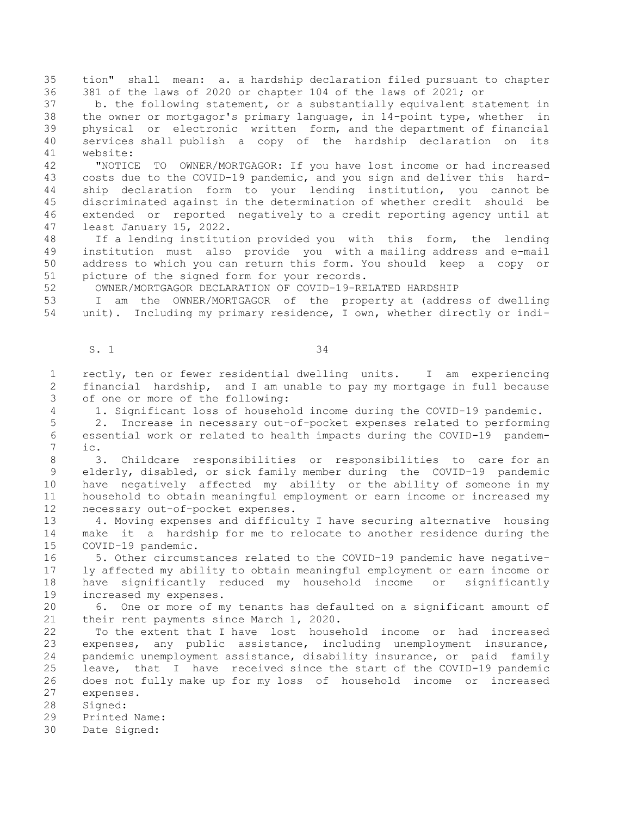35 tion" shall mean: a. a hardship declaration filed pursuant to chapter 36 381 of the laws of 2020 or chapter 104 of the laws of 2021; or

37 b. the following statement, or a substantially equivalent statement in 38 the owner or mortgagor's primary language, in 14-point type, whether in 39 physical or electronic written form, and the department of financial 40 services shall publish a copy of the hardship declaration on its 41 website:

42 "NOTICE TO OWNER/MORTGAGOR: If you have lost income or had increased 43 costs due to the COVID-19 pandemic, and you sign and deliver this hard-44 ship declaration form to your lending institution, you cannot be 45 discriminated against in the determination of whether credit should be 46 extended or reported negatively to a credit reporting agency until at 47 least January 15, 2022.

48 If a lending institution provided you with this form, the lending 49 institution must also provide you with a mailing address and e-mail 50 address to which you can return this form. You should keep a copy or 51 picture of the signed form for your records.

52 OWNER/MORTGAGOR DECLARATION OF COVID-19-RELATED HARDSHIP

53 I am the OWNER/MORTGAGOR of the property at (address of dwelling 54 unit). Including my primary residence, I own, whether directly or indi-

### S. 1 34

 1 rectly, ten or fewer residential dwelling units. I am experiencing 2 financial hardship, and I am unable to pay my mortgage in full because 3 of one or more of the following:

4 1. Significant loss of household income during the COVID-19 pandemic.

 5 2. Increase in necessary out-of-pocket expenses related to performing 6 essential work or related to health impacts during the COVID-19 pandem- 7 ic.

 8 3. Childcare responsibilities or responsibilities to care for an 9 elderly, disabled, or sick family member during the COVID-19 pandemic 10 have negatively affected my ability or the ability of someone in my 11 household to obtain meaningful employment or earn income or increased my 12 necessary out-of-pocket expenses.

13 4. Moving expenses and difficulty I have securing alternative housing 14 make it a hardship for me to relocate to another residence during the 15 COVID-19 pandemic.

16 5. Other circumstances related to the COVID-19 pandemic have negative-17 ly affected my ability to obtain meaningful employment or earn income or 18 have significantly reduced my household income or significantly 19 increased my expenses.

20 6. One or more of my tenants has defaulted on a significant amount of 21 their rent payments since March 1, 2020.

22 To the extent that I have lost household income or had increased 23 expenses, any public assistance, including unemployment insurance, 24 pandemic unemployment assistance, disability insurance, or paid family 25 leave, that I have received since the start of the COVID-19 pandemic 26 does not fully make up for my loss of household income or increased 27 expenses.

28 Signed:

29 Printed Name:

30 Date Signed: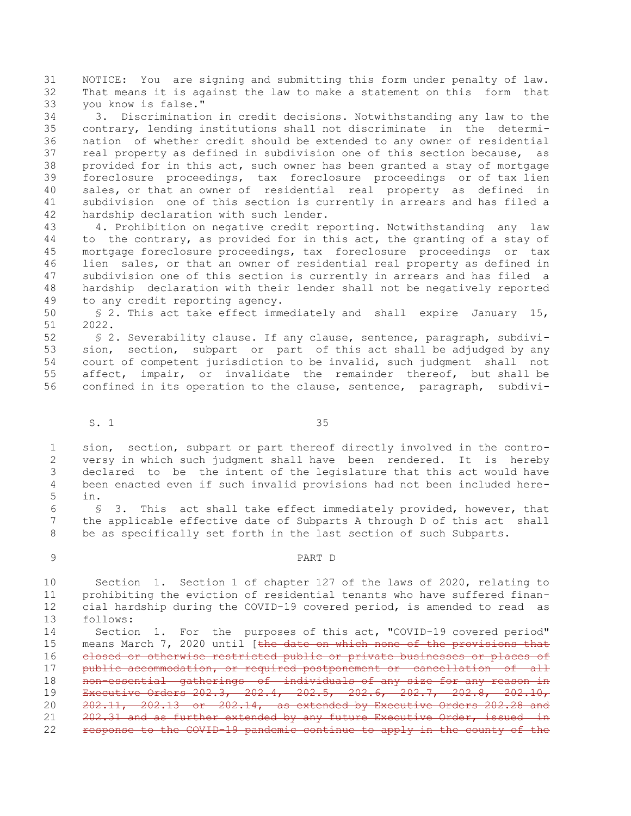31 NOTICE: You are signing and submitting this form under penalty of law. 32 That means it is against the law to make a statement on this form that 33 you know is false."

34 3. Discrimination in credit decisions. Notwithstanding any law to the 35 contrary, lending institutions shall not discriminate in the determi-36 nation of whether credit should be extended to any owner of residential 37 real property as defined in subdivision one of this section because, as 38 provided for in this act, such owner has been granted a stay of mortgage 39 foreclosure proceedings, tax foreclosure proceedings or of tax lien 40 sales, or that an owner of residential real property as defined in 41 subdivision one of this section is currently in arrears and has filed a 42 hardship declaration with such lender.

43 4. Prohibition on negative credit reporting. Notwithstanding any law 44 to the contrary, as provided for in this act, the granting of a stay of 45 mortgage foreclosure proceedings, tax foreclosure proceedings or tax 46 lien sales, or that an owner of residential real property as defined in 47 subdivision one of this section is currently in arrears and has filed a 48 hardship declaration with their lender shall not be negatively reported 49 to any credit reporting agency.

50 § 2. This act take effect immediately and shall expire January 15, 51 2022.

52 § 2. Severability clause. If any clause, sentence, paragraph, subdivi-53 sion, section, subpart or part of this act shall be adjudged by any 54 court of competent jurisdiction to be invalid, such judgment shall not 55 affect, impair, or invalidate the remainder thereof, but shall be 56 confined in its operation to the clause, sentence, paragraph, subdivi-

S. 1 35

 1 sion, section, subpart or part thereof directly involved in the contro- 2 versy in which such judgment shall have been rendered. It is hereby 3 declared to be the intent of the legislature that this act would have 4 been enacted even if such invalid provisions had not been included here- 5 in.

 6 § 3. This act shall take effect immediately provided, however, that 7 the applicable effective date of Subparts A through D of this act shall 8 be as specifically set forth in the last section of such Subparts.

#### 9 PART D

10 Section 1. Section 1 of chapter 127 of the laws of 2020, relating to 11 prohibiting the eviction of residential tenants who have suffered finan-12 cial hardship during the COVID-19 covered period, is amended to read as 13 follows:

14 Section 1. For the purposes of this act, "COVID-19 covered period" 15 means March 7, 2020 until [the date on which none of the provisions that 16 closed or otherwise restricted public or private businesses or places of 17 public accommodation, or required postponement or cancellation of all 18 1000-001 non-essential gatherings of individuals of any size for any reason in 19 Executive Orders 202.3, 202.4, 202.5, 202.6, 202.7, 202.8, 202.10, 20 202.11, 202.13 or 202.14, as extended by Executive Orders 202.28 and 21 202.31 and as further extended by any future Executive Order, issued in 22 response to the COVID-19 pandemic continue to apply in the county of the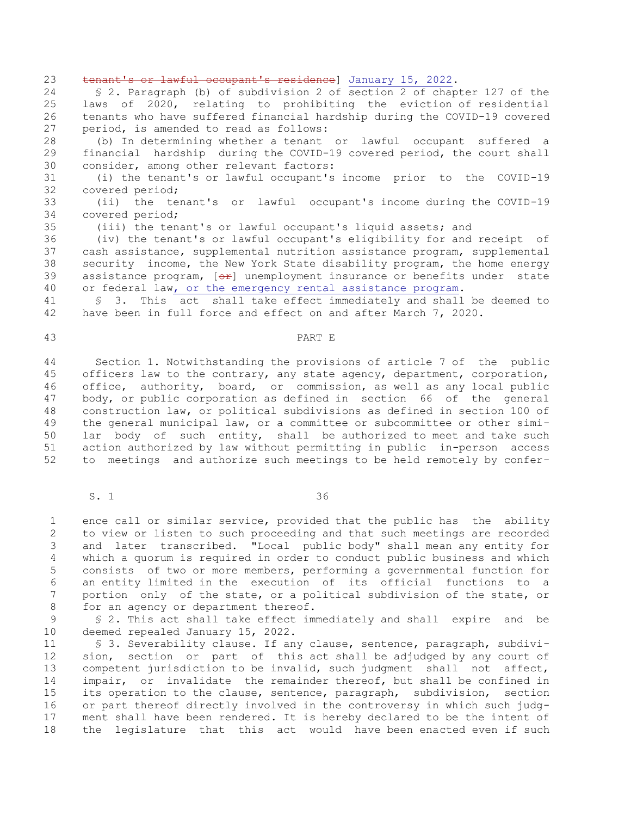23 tenant's or lawful occupant's residence] January 15, 2022. 24 § 2. Paragraph (b) of subdivision 2 of section 2 of chapter 127 of the 25 laws of 2020, relating to prohibiting the eviction of residential 26 tenants who have suffered financial hardship during the COVID-19 covered 27 period, is amended to read as follows: 28 (b) In determining whether a tenant or lawful occupant suffered a

29 financial hardship during the COVID-19 covered period, the court shall 30 consider, among other relevant factors:

31 (i) the tenant's or lawful occupant's income prior to the COVID-19 32 covered period;

33 (ii) the tenant's or lawful occupant's income during the COVID-19 34 covered period;

35 (iii) the tenant's or lawful occupant's liquid assets; and

36 (iv) the tenant's or lawful occupant's eligibility for and receipt of 37 cash assistance, supplemental nutrition assistance program, supplemental 38 security income, the New York State disability program, the home energy 39 assistance program,  $[ $\Theta$  +  $\Theta$ ] unemptyment insurance or benefits under state$ 40 or federal law, or the emergency rental assistance program.

41 § 3. This act shall take effect immediately and shall be deemed to 42 have been in full force and effect on and after March 7, 2020.

#### 43 PART E

44 Section 1. Notwithstanding the provisions of article 7 of the public 45 officers law to the contrary, any state agency, department, corporation, 46 office, authority, board, or commission, as well as any local public 47 body, or public corporation as defined in section 66 of the general 48 construction law, or political subdivisions as defined in section 100 of 49 the general municipal law, or a committee or subcommittee or other simi-50 lar body of such entity, shall be authorized to meet and take such 51 action authorized by law without permitting in public in-person access 52 to meetings and authorize such meetings to be held remotely by confer-

S. 1 36

 1 ence call or similar service, provided that the public has the ability 2 to view or listen to such proceeding and that such meetings are recorded 3 and later transcribed. "Local public body" shall mean any entity for 4 which a quorum is required in order to conduct public business and which 5 consists of two or more members, performing a governmental function for 6 an entity limited in the execution of its official functions to a 7 portion only of the state, or a political subdivision of the state, or 8 for an agency or department thereof.

 9 § 2. This act shall take effect immediately and shall expire and be 10 deemed repealed January 15, 2022.

11 § 3. Severability clause. If any clause, sentence, paragraph, subdivi-12 sion, section or part of this act shall be adjudged by any court of 13 competent jurisdiction to be invalid, such judgment shall not affect, 14 impair, or invalidate the remainder thereof, but shall be confined in 15 its operation to the clause, sentence, paragraph, subdivision, section 16 or part thereof directly involved in the controversy in which such judg-17 ment shall have been rendered. It is hereby declared to be the intent of 18 the legislature that this act would have been enacted even if such